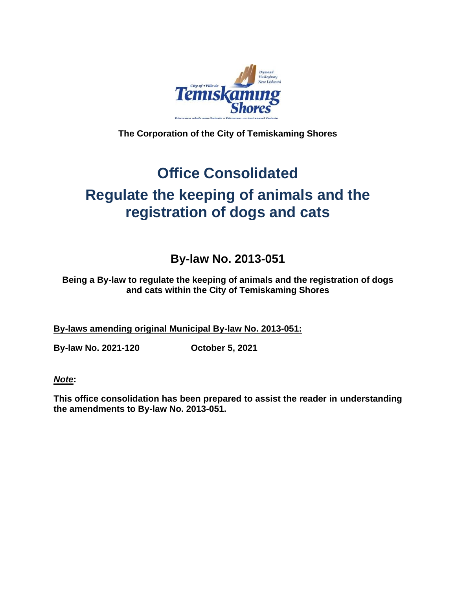

**The Corporation of the City of Temiskaming Shores**

# **Office Consolidated Regulate the keeping of animals and the registration of dogs and cats**

## **By-law No. 2013-051**

**Being a By-law to regulate the keeping of animals and the registration of dogs and cats within the City of Temiskaming Shores**

**By-laws amending original Municipal By-law No. 2013-051:**

**By-law No. 2021-120 October 5, 2021**

*Note***:**

**This office consolidation has been prepared to assist the reader in understanding the amendments to By-law No. 2013-051.**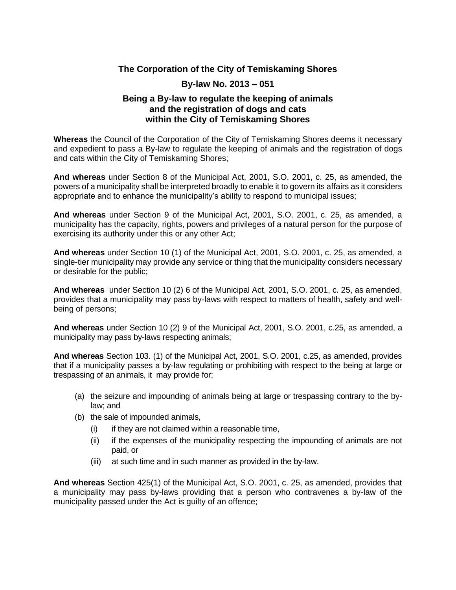#### **The Corporation of the City of Temiskaming Shores**

#### **By-law No. 2013 – 051**

#### **Being a By-law to regulate the keeping of animals and the registration of dogs and cats within the City of Temiskaming Shores**

**Whereas** the Council of the Corporation of the City of Temiskaming Shores deems it necessary and expedient to pass a By-law to regulate the keeping of animals and the registration of dogs and cats within the City of Temiskaming Shores;

**And whereas** under Section 8 of the Municipal Act, 2001, S.O. 2001, c. 25, as amended, the powers of a municipality shall be interpreted broadly to enable it to govern its affairs as it considers appropriate and to enhance the municipality's ability to respond to municipal issues;

**And whereas** under Section 9 of the Municipal Act, 2001, S.O. 2001, c. 25, as amended, a municipality has the capacity, rights, powers and privileges of a natural person for the purpose of exercising its authority under this or any other Act;

**And whereas** under Section 10 (1) of the Municipal Act, 2001, S.O. 2001, c. 25, as amended, a single-tier municipality may provide any service or thing that the municipality considers necessary or desirable for the public;

**And whereas** under Section 10 (2) 6 of the Municipal Act, 2001, S.O. 2001, c. 25, as amended, provides that a municipality may pass by-laws with respect to matters of health, safety and wellbeing of persons;

**And whereas** under Section 10 (2) 9 of the Municipal Act, 2001, S.O. 2001, c.25, as amended, a municipality may pass by-laws respecting animals;

**And whereas** Section 103. (1) of the Municipal Act, 2001, S.O. 2001, c.25, as amended, provides that if a municipality passes a by-law regulating or prohibiting with respect to the being at large or trespassing of an animals, it may provide for;

- (a) the seizure and impounding of animals being at large or trespassing contrary to the bylaw; and
- (b) the sale of impounded animals,
	- $(i)$  if they are not claimed within a reasonable time,
	- (ii) if the expenses of the municipality respecting the impounding of animals are not paid, or
	- (iii) at such time and in such manner as provided in the by-law.

**And whereas** Section 425(1) of the Municipal Act, S.O. 2001, c. 25, as amended, provides that a municipality may pass by-laws providing that a person who contravenes a by-law of the municipality passed under the Act is guilty of an offence;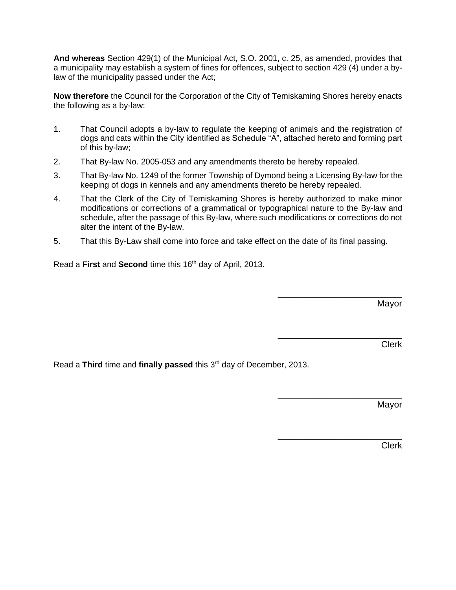**And whereas** Section 429(1) of the Municipal Act, S.O. 2001, c. 25, as amended, provides that a municipality may establish a system of fines for offences, subject to section 429 (4) under a bylaw of the municipality passed under the Act;

**Now therefore** the Council for the Corporation of the City of Temiskaming Shores hereby enacts the following as a by-law:

- 1. That Council adopts a by-law to regulate the keeping of animals and the registration of dogs and cats within the City identified as Schedule "A", attached hereto and forming part of this by-law;
- 2. That By-law No. 2005-053 and any amendments thereto be hereby repealed.
- 3. That By-law No. 1249 of the former Township of Dymond being a Licensing By-law for the keeping of dogs in kennels and any amendments thereto be hereby repealed.
- 4. That the Clerk of the City of Temiskaming Shores is hereby authorized to make minor modifications or corrections of a grammatical or typographical nature to the By-law and schedule, after the passage of this By-law, where such modifications or corrections do not alter the intent of the By-law.
- 5. That this By-Law shall come into force and take effect on the date of its final passing.

Read a **First** and **Second** time this 16<sup>th</sup> day of April, 2013.

Mayor

\_\_\_\_\_\_\_\_\_\_\_\_\_\_\_\_\_\_\_\_\_\_\_\_\_

\_\_\_\_\_\_\_\_\_\_\_\_\_\_\_\_\_\_\_\_\_\_\_\_\_

\_\_\_\_\_\_\_\_\_\_\_\_\_\_\_\_\_\_\_\_\_\_\_\_\_

\_\_\_\_\_\_\_\_\_\_\_\_\_\_\_\_\_\_\_\_\_\_\_\_\_

Clerk

Read a Third time and finally passed this 3<sup>rd</sup> day of December, 2013.

Mayor

Clerk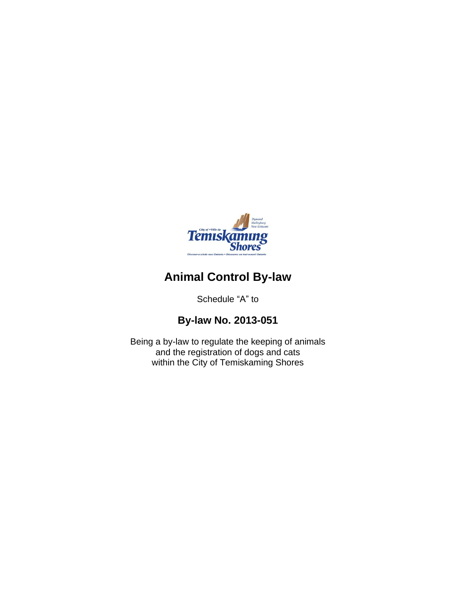

## **Animal Control By-law**

Schedule "A" to

## **By-law No. 2013-051**

Being a by-law to regulate the keeping of animals and the registration of dogs and cats within the City of Temiskaming Shores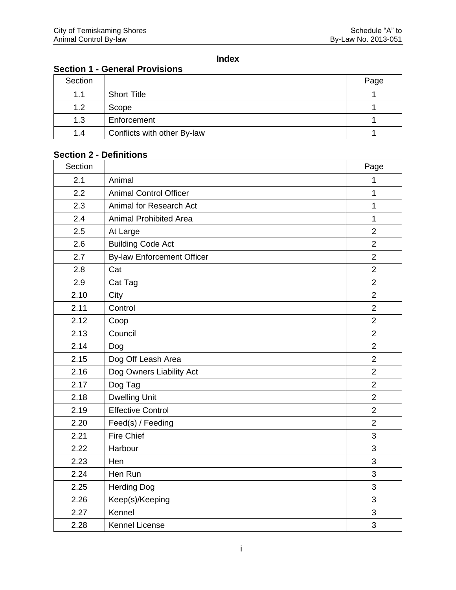## **Index**

|  |  |  | <b>Section 1 - General Provisions</b> |  |
|--|--|--|---------------------------------------|--|
|--|--|--|---------------------------------------|--|

| Section |                             | Page |
|---------|-----------------------------|------|
| 1.1     | <b>Short Title</b>          |      |
| 1.2     | Scope                       |      |
| 1.3     | Enforcement                 |      |
| 1.4     | Conflicts with other By-law |      |

## **Section 2 - Definitions**

| Section |                                   | Page           |
|---------|-----------------------------------|----------------|
| 2.1     | Animal                            | $\mathbf{1}$   |
| 2.2     | <b>Animal Control Officer</b>     | 1              |
| 2.3     | Animal for Research Act           | 1              |
| 2.4     | <b>Animal Prohibited Area</b>     | 1              |
| 2.5     | At Large                          | $\overline{2}$ |
| 2.6     | <b>Building Code Act</b>          | $\overline{2}$ |
| 2.7     | <b>By-law Enforcement Officer</b> | $\overline{2}$ |
| 2.8     | Cat                               | $\overline{2}$ |
| 2.9     | Cat Tag                           | $\overline{2}$ |
| 2.10    | City                              | $\overline{2}$ |
| 2.11    | Control                           | $\overline{2}$ |
| 2.12    | Coop                              | $\overline{2}$ |
| 2.13    | Council                           | $\overline{2}$ |
| 2.14    | Dog                               | $\overline{2}$ |
| 2.15    | Dog Off Leash Area                | $\overline{2}$ |
| 2.16    | Dog Owners Liability Act          | $\overline{2}$ |
| 2.17    | Dog Tag                           | $\overline{2}$ |
| 2.18    | <b>Dwelling Unit</b>              | $\overline{2}$ |
| 2.19    | <b>Effective Control</b>          | $\overline{2}$ |
| 2.20    | Feed(s) / Feeding                 | $\overline{2}$ |
| 2.21    | <b>Fire Chief</b>                 | $\mathfrak{S}$ |
| 2.22    | Harbour                           | 3              |
| 2.23    | Hen                               | $\overline{3}$ |
| 2.24    | Hen Run                           | 3              |
| 2.25    | <b>Herding Dog</b>                | 3              |
| 2.26    | Keep(s)/Keeping                   | 3              |
| 2.27    | Kennel                            | 3              |
| 2.28    | <b>Kennel License</b>             | 3              |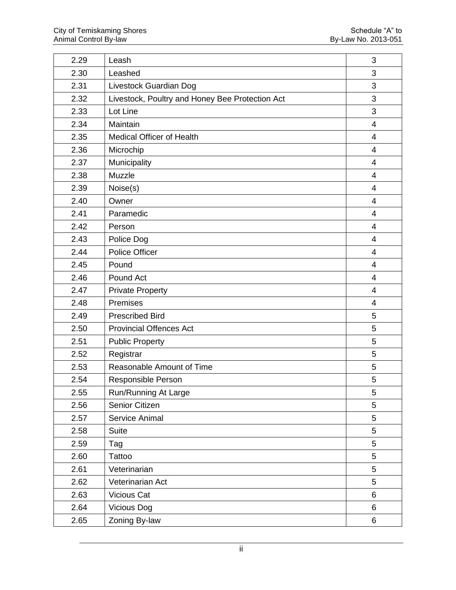| 2.29 | Leash                                           | 3                        |
|------|-------------------------------------------------|--------------------------|
| 2.30 | Leashed                                         | 3                        |
| 2.31 | Livestock Guardian Dog                          | 3                        |
| 2.32 | Livestock, Poultry and Honey Bee Protection Act | 3                        |
| 2.33 | Lot Line                                        | 3                        |
| 2.34 | Maintain                                        | $\overline{4}$           |
| 2.35 | <b>Medical Officer of Health</b>                | $\overline{4}$           |
| 2.36 | Microchip                                       | $\overline{\mathcal{A}}$ |
| 2.37 | Municipality                                    | $\overline{4}$           |
| 2.38 | Muzzle                                          | $\overline{4}$           |
| 2.39 | Noise(s)                                        | $\overline{4}$           |
| 2.40 | Owner                                           | $\overline{4}$           |
| 2.41 | Paramedic                                       | $\overline{4}$           |
| 2.42 | Person                                          | $\overline{\mathcal{A}}$ |
| 2.43 | Police Dog                                      | $\overline{4}$           |
| 2.44 | Police Officer                                  | $\overline{4}$           |
| 2.45 | Pound                                           | $\overline{4}$           |
| 2.46 | Pound Act                                       | $\overline{4}$           |
| 2.47 | <b>Private Property</b>                         | $\overline{4}$           |
| 2.48 | Premises                                        | $\overline{4}$           |
| 2.49 | <b>Prescribed Bird</b>                          | 5                        |
| 2.50 | <b>Provincial Offences Act</b>                  | 5                        |
| 2.51 | <b>Public Property</b>                          | 5                        |
| 2.52 | Registrar                                       | 5                        |
| 2.53 | Reasonable Amount of Time                       | 5                        |
| 2.54 | Responsible Person                              | 5                        |
| 2.55 | Run/Running At Large                            | $\mathbf 5$              |
| 2.56 | Senior Citizen                                  | 5                        |
| 2.57 | Service Animal                                  | $5\overline{)}$          |
| 2.58 | <b>Suite</b>                                    | 5                        |
| 2.59 | Tag                                             | 5                        |
| 2.60 | <b>Tattoo</b>                                   | 5                        |
| 2.61 | Veterinarian                                    | 5                        |
| 2.62 | Veterinarian Act                                | 5                        |
| 2.63 | Vicious Cat                                     | 6                        |
| 2.64 | <b>Vicious Dog</b>                              | 6                        |
| 2.65 | Zoning By-law                                   | $6\phantom{a}$           |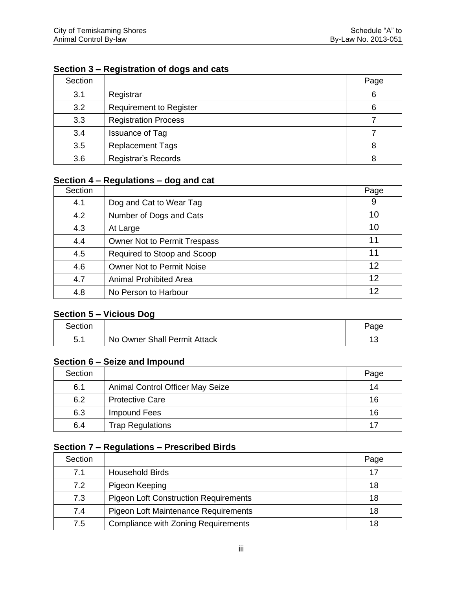## **Section 3 – Registration of dogs and cats**

| Section |                                | Page |
|---------|--------------------------------|------|
| 3.1     | Registrar                      | 6    |
| 3.2     | <b>Requirement to Register</b> | 6    |
| 3.3     | <b>Registration Process</b>    |      |
| 3.4     | <b>Issuance of Tag</b>         |      |
| 3.5     | <b>Replacement Tags</b>        | 8    |
| 3.6     | Registrar's Records            | 8    |

#### **Section 4 – Regulations – dog and cat**

| Section |                                     | Page |
|---------|-------------------------------------|------|
| 4.1     | Dog and Cat to Wear Tag             | 9    |
| 4.2     | Number of Dogs and Cats             | 10   |
| 4.3     | At Large                            | 10   |
| 4.4     | <b>Owner Not to Permit Trespass</b> | 11   |
| 4.5     | Required to Stoop and Scoop         | 11   |
| 4.6     | <b>Owner Not to Permit Noise</b>    | 12   |
| 4.7     | <b>Animal Prohibited Area</b>       | 12   |
| 4.8     | No Person to Harbour                | 12   |

## **Section 5 – Vicious Dog**

| Section      |                              | Page          |
|--------------|------------------------------|---------------|
| 51<br>. ບ. . | No Owner Shall Permit Attack | $\sim$<br>. J |

## **Section 6 – Seize and Impound**

| Section |                                  | Page |
|---------|----------------------------------|------|
| 6.1     | Animal Control Officer May Seize | 14   |
| 6.2     | <b>Protective Care</b>           | 16   |
| 6.3     | Impound Fees                     | 16   |
| 6.4     | <b>Trap Regulations</b>          | 17   |

#### **Section 7 – Regulations – Prescribed Birds**

| Section |                                              | Page |
|---------|----------------------------------------------|------|
| 7.1     | <b>Household Birds</b>                       | 17   |
| 7.2     | Pigeon Keeping                               | 18   |
| 7.3     | <b>Pigeon Loft Construction Requirements</b> | 18   |
| 7.4     | Pigeon Loft Maintenance Requirements         | 18   |
| 7.5     | <b>Compliance with Zoning Requirements</b>   | 18   |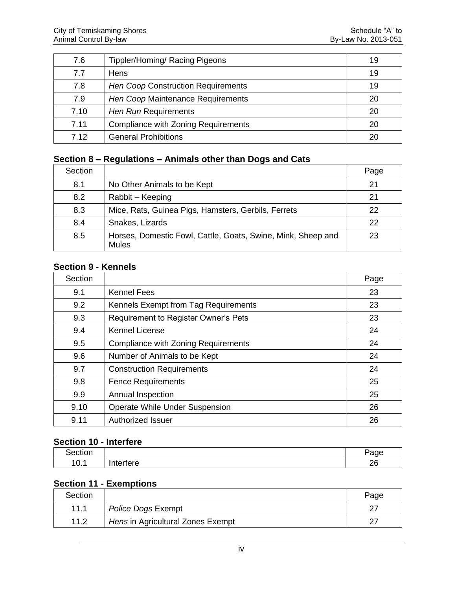| 7.6  | Tippler/Homing/ Racing Pigeons      | 19 |
|------|-------------------------------------|----|
| 7.7  | Hens                                | 19 |
| 7.8  | Hen Coop Construction Requirements  | 19 |
| 7.9  | Hen Coop Maintenance Requirements   | 20 |
| 7.10 | Hen Run Requirements                | 20 |
| 7.11 | Compliance with Zoning Requirements | 20 |
| 7.12 | <b>General Prohibitions</b>         | 20 |

#### **Section 8 – Regulations – Animals other than Dogs and Cats**

| Section |                                                                              | Page |
|---------|------------------------------------------------------------------------------|------|
| 8.1     | No Other Animals to be Kept                                                  | 21   |
| 8.2     | Rabbit – Keeping                                                             | 21   |
| 8.3     | Mice, Rats, Guinea Pigs, Hamsters, Gerbils, Ferrets                          | 22   |
| 8.4     | Snakes, Lizards                                                              | 22   |
| 8.5     | Horses, Domestic Fowl, Cattle, Goats, Swine, Mink, Sheep and<br><b>Mules</b> | 23   |

#### **Section 9 - Kennels**

| Section |                                            | Page |
|---------|--------------------------------------------|------|
| 9.1     | <b>Kennel Fees</b>                         | 23   |
| 9.2     | Kennels Exempt from Tag Requirements       | 23   |
| 9.3     | Requirement to Register Owner's Pets       | 23   |
| 9.4     | <b>Kennel License</b>                      | 24   |
| 9.5     | <b>Compliance with Zoning Requirements</b> | 24   |
| 9.6     | Number of Animals to be Kept               | 24   |
| 9.7     | <b>Construction Requirements</b>           | 24   |
| 9.8     | <b>Fence Requirements</b>                  | 25   |
| 9.9     | Annual Inspection                          | 25   |
| 9.10    | Operate While Under Suspension             | 26   |
| 9.11    | Authorized Issuer                          | 26   |

#### **Section 10 - Interfere**

| .<br>$\mathbf{r}$ | $-$                     |
|-------------------|-------------------------|
| $\sim$<br>ິບ      | <br>$\sim$<br>,,<br>. . |

## **Section 11 - Exemptions**

| Section |                                   | Page |
|---------|-----------------------------------|------|
| 11.1    | Police Dogs Exempt                | ົ    |
| 11.2    | Hens in Agricultural Zones Exempt | ົ    |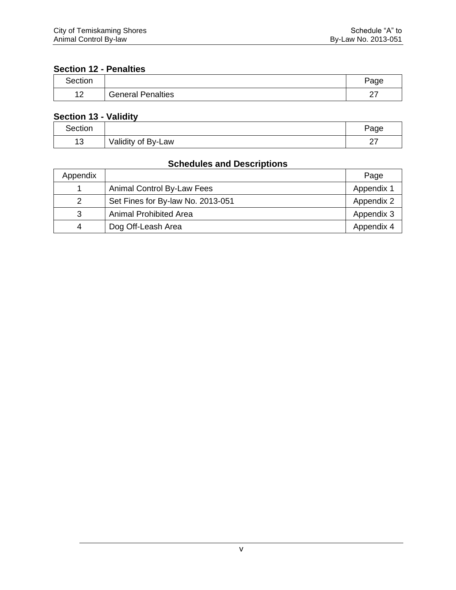## **Section 12 - Penalties**

| Section |                          | Page          |
|---------|--------------------------|---------------|
| י ג     | <b>General Penalties</b> | $\sim$<br>ا ڪ |

## **Section 13 - Validity**

| Section    |                    | Page             |
|------------|--------------------|------------------|
| 4 ຕ<br>ں ا | Validity of By-Law | $\sim$<br>$\sim$ |

## **Schedules and Descriptions**

| Appendix |                                   | Page       |
|----------|-----------------------------------|------------|
|          | Animal Control By-Law Fees        | Appendix 1 |
| 2        | Set Fines for By-law No. 2013-051 | Appendix 2 |
| 3        | <b>Animal Prohibited Area</b>     | Appendix 3 |
| 4        | Dog Off-Leash Area                | Appendix 4 |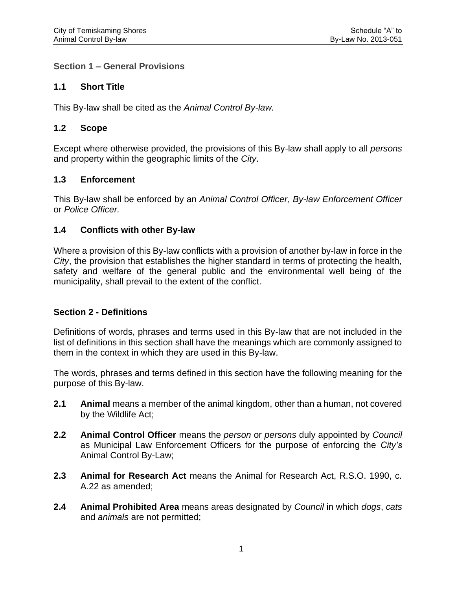#### **Section 1 – General Provisions**

#### **1.1 Short Title**

This By-law shall be cited as the *Animal Control By-law.*

#### **1.2 Scope**

Except where otherwise provided, the provisions of this By-law shall apply to all *persons* and property within the geographic limits of the *City*.

#### **1.3 Enforcement**

This By-law shall be enforced by an *Animal Control Officer*, *By-law Enforcement Officer* or *Police Officer.*

#### **1.4 Conflicts with other By-law**

Where a provision of this By-law conflicts with a provision of another by-law in force in the *City*, the provision that establishes the higher standard in terms of protecting the health, safety and welfare of the general public and the environmental well being of the municipality, shall prevail to the extent of the conflict.

#### **Section 2 - Definitions**

Definitions of words, phrases and terms used in this By-law that are not included in the list of definitions in this section shall have the meanings which are commonly assigned to them in the context in which they are used in this By-law.

The words, phrases and terms defined in this section have the following meaning for the purpose of this By-law.

- **2.1 Animal** means a member of the animal kingdom, other than a human, not covered by the Wildlife Act;
- **2.2 Animal Control Officer** means the *person* or *persons* duly appointed by *Council* as Municipal Law Enforcement Officers for the purpose of enforcing the *City's* Animal Control By-Law;
- **2.3 Animal for Research Act** means the Animal for Research Act, R.S.O. 1990, c. A.22 as amended;
- **2.4 Animal Prohibited Area** means areas designated by *Council* in which *dogs*, *cats* and *animals* are not permitted;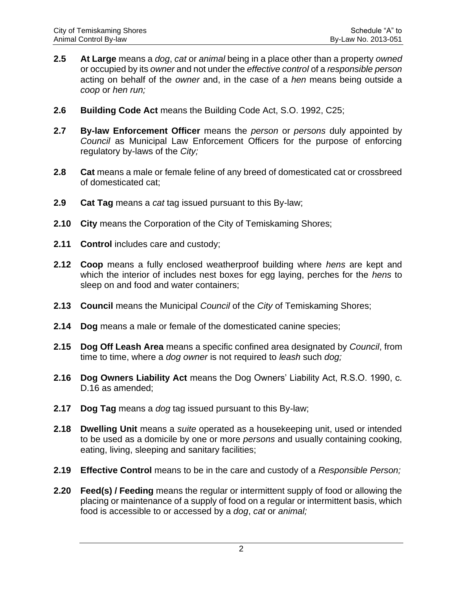- **2.5 At Large** means a *dog*, *cat* or *animal* being in a place other than a property *owned* or occupied by its *owner* and not under the *effective control* of a *responsible person* acting on behalf of the *owner* and, in the case of a *hen* means being outside a *coop* or *hen run;*
- **2.6 Building Code Act** means the Building Code Act, S.O. 1992, C25;
- **2.7 By-law Enforcement Officer** means the *person* or *persons* duly appointed by *Council* as Municipal Law Enforcement Officers for the purpose of enforcing regulatory by-laws of the *City;*
- **2.8 Cat** means a male or female feline of any breed of domesticated cat or crossbreed of domesticated cat;
- **2.9 Cat Tag** means a *cat* tag issued pursuant to this By-law;
- **2.10 City** means the Corporation of the City of Temiskaming Shores;
- **2.11 Control** includes care and custody;
- **2.12 Coop** means a fully enclosed weatherproof building where *hens* are kept and which the interior of includes nest boxes for egg laying, perches for the *hens* to sleep on and food and water containers;
- **2.13 Council** means the Municipal *Council* of the *City* of Temiskaming Shores;
- **2.14 Dog** means a male or female of the domesticated canine species;
- **2.15 Dog Off Leash Area** means a specific confined area designated by *Council*, from time to time, where a *dog owner* is not required to *leash* such *dog;*
- **2.16 Dog Owners Liability Act** means the Dog Owners' Liability Act, R.S.O. 1990, c. D.16 as amended;
- **2.17 Dog Tag** means a *dog* tag issued pursuant to this By-law;
- **2.18 Dwelling Unit** means a *suite* operated as a housekeeping unit, used or intended to be used as a domicile by one or more *persons* and usually containing cooking, eating, living, sleeping and sanitary facilities;
- **2.19 Effective Control** means to be in the care and custody of a *Responsible Person;*
- **2.20 Feed(s) / Feeding** means the regular or intermittent supply of food or allowing the placing or maintenance of a supply of food on a regular or intermittent basis, which food is accessible to or accessed by a *dog*, *cat* or *animal;*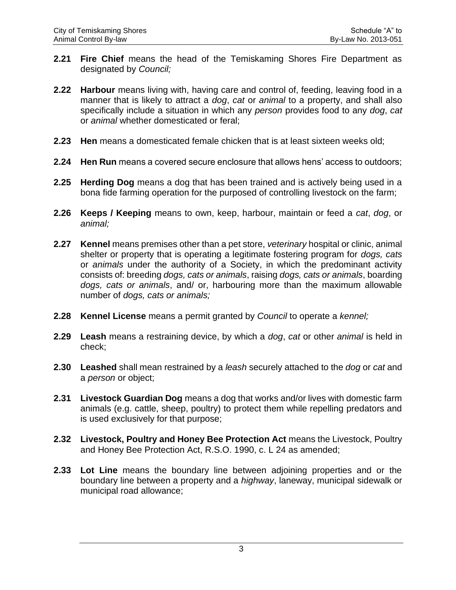- **2.21 Fire Chief** means the head of the Temiskaming Shores Fire Department as designated by *Council;*
- **2.22 Harbour** means living with, having care and control of, feeding, leaving food in a manner that is likely to attract a *dog*, *cat* or *animal* to a property, and shall also specifically include a situation in which any *person* provides food to any *dog*, *cat* or *animal* whether domesticated or feral;
- **2.23 Hen** means a domesticated female chicken that is at least sixteen weeks old;
- **2.24 Hen Run** means a covered secure enclosure that allows hens' access to outdoors;
- **2.25 Herding Dog** means a dog that has been trained and is actively being used in a bona fide farming operation for the purposed of controlling livestock on the farm;
- **2.26 Keeps / Keeping** means to own, keep, harbour, maintain or feed a *cat*, *dog*, or *animal;*
- **2.27 Kennel** means premises other than a pet store, *veterinary* hospital or clinic, animal shelter or property that is operating a legitimate fostering program for *dogs, cats*  or *animals* under the authority of a Society, in which the predominant activity consists of: breeding *dogs, cats or animals*, raising *dogs, cats or animals*, boarding *dogs, cats or animals*, and/ or, harbouring more than the maximum allowable number of *dogs, cats or animals;*
- **2.28 Kennel License** means a permit granted by *Council* to operate a *kennel;*
- **2.29 Leash** means a restraining device, by which a *dog*, *cat* or other *animal* is held in check;
- **2.30 Leashed** shall mean restrained by a *leash* securely attached to the *dog* or *cat* and a *person* or object;
- **2.31 Livestock Guardian Dog** means a dog that works and/or lives with domestic farm animals (e.g. cattle, sheep, poultry) to protect them while repelling predators and is used exclusively for that purpose;
- **2.32 Livestock, Poultry and Honey Bee Protection Act** means the Livestock, Poultry and Honey Bee Protection Act, R.S.O. 1990, c. L 24 as amended;
- **2.33 Lot Line** means the boundary line between adjoining properties and or the boundary line between a property and a *highway*, laneway, municipal sidewalk or municipal road allowance;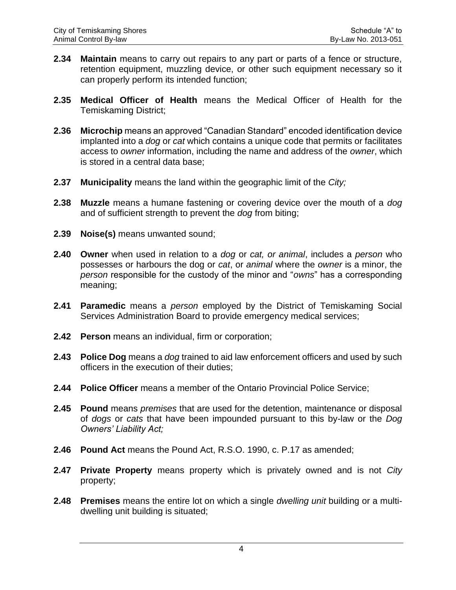- **2.34 Maintain** means to carry out repairs to any part or parts of a fence or structure, retention equipment, muzzling device, or other such equipment necessary so it can properly perform its intended function;
- **2.35 Medical Officer of Health** means the Medical Officer of Health for the Temiskaming District;
- **2.36 Microchip** means an approved "Canadian Standard" encoded identification device implanted into a *dog* or *cat* which contains a unique code that permits or facilitates access to *owner* information, including the name and address of the *owner*, which is stored in a central data base;
- **2.37 Municipality** means the land within the geographic limit of the *City;*
- **2.38 Muzzle** means a humane fastening or covering device over the mouth of a *dog* and of sufficient strength to prevent the *dog* from biting;
- **2.39 Noise(s)** means unwanted sound;
- **2.40 Owner** when used in relation to a *dog* or *cat, or animal*, includes a *person* who possesses or harbours the dog or *cat*, or *animal* where the *owner* is a minor, the *person* responsible for the custody of the minor and "*owns*" has a corresponding meaning;
- **2.41 Paramedic** means a *person* employed by the District of Temiskaming Social Services Administration Board to provide emergency medical services;
- **2.42 Person** means an individual, firm or corporation;
- **2.43 Police Dog** means a *dog* trained to aid law enforcement officers and used by such officers in the execution of their duties;
- **2.44 Police Officer** means a member of the Ontario Provincial Police Service;
- **2.45 Pound** means *premises* that are used for the detention, maintenance or disposal of *dogs* or *cats* that have been impounded pursuant to this by-law or the *Dog Owners' Liability Act;*
- **2.46 Pound Act** means the Pound Act, R.S.O. 1990, c. P.17 as amended;
- **2.47 Private Property** means property which is privately owned and is not *City*  property;
- **2.48 Premises** means the entire lot on which a single *dwelling unit* building or a multidwelling unit building is situated;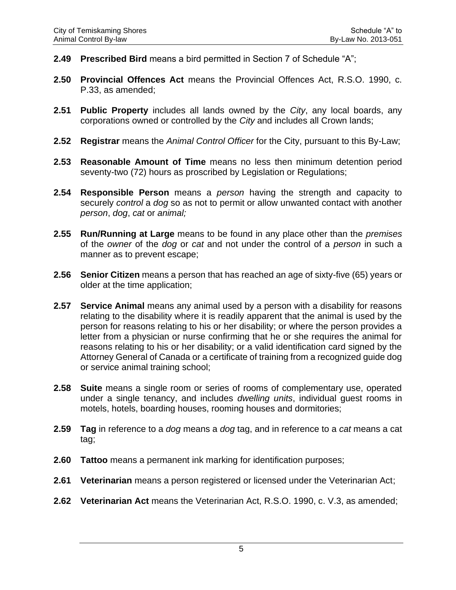- **2.49 Prescribed Bird** means a bird permitted in Section 7 of Schedule "A";
- **2.50 Provincial Offences Act** means the Provincial Offences Act, R.S.O. 1990, c. P.33, as amended;
- **2.51 Public Property** includes all lands owned by the *City*, any local boards, any corporations owned or controlled by the *City* and includes all Crown lands;
- **2.52 Registrar** means the *Animal Control Officer* for the City, pursuant to this By-Law;
- **2.53 Reasonable Amount of Time** means no less then minimum detention period seventy-two (72) hours as proscribed by Legislation or Regulations;
- **2.54 Responsible Person** means a *person* having the strength and capacity to securely *control* a *dog* so as not to permit or allow unwanted contact with another *person*, *dog*, *cat* or *animal;*
- **2.55 Run/Running at Large** means to be found in any place other than the *premises* of the *owner* of the *dog* or *cat* and not under the control of a *person* in such a manner as to prevent escape;
- **2.56 Senior Citizen** means a person that has reached an age of sixty-five (65) years or older at the time application;
- **2.57 Service Animal** means any animal used by a person with a disability for reasons relating to the disability where it is readily apparent that the animal is used by the person for reasons relating to his or her disability; or where the person provides a letter from a physician or nurse confirming that he or she requires the animal for reasons relating to his or her disability; or a valid identification card signed by the Attorney General of Canada or a certificate of training from a recognized guide dog or service animal training school;
- **2.58 Suite** means a single room or series of rooms of complementary use, operated under a single tenancy, and includes *dwelling units*, individual guest rooms in motels, hotels, boarding houses, rooming houses and dormitories;
- **2.59 Tag** in reference to a *dog* means a *dog* tag, and in reference to a *cat* means a cat tag;
- **2.60 Tattoo** means a permanent ink marking for identification purposes;
- **2.61 Veterinarian** means a person registered or licensed under the Veterinarian Act;
- **2.62 Veterinarian Act** means the Veterinarian Act, R.S.O. 1990, c. V.3, as amended;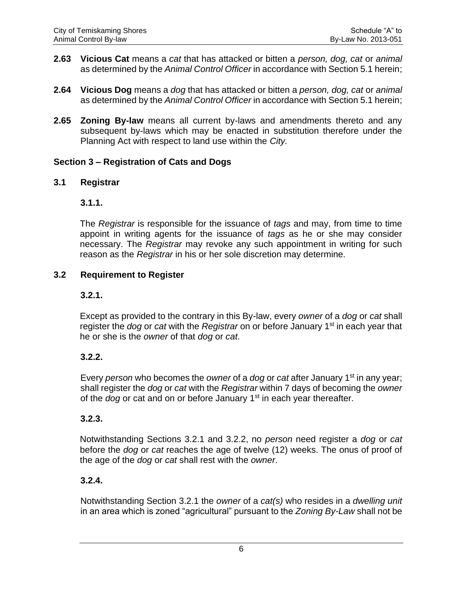- **2.63 Vicious Cat** means a *cat* that has attacked or bitten a *person, dog, cat* or *animal* as determined by the *Animal Control Officer* in accordance with Section 5.1 herein;
- **2.64 Vicious Dog** means a *dog* that has attacked or bitten a *person, dog, cat* or *animal* as determined by the *Animal Control Officer* in accordance with Section 5.1 herein;
- **2.65 Zoning By-law** means all current by-laws and amendments thereto and any subsequent by-laws which may be enacted in substitution therefore under the Planning Act with respect to land use within the *City.*

#### **Section 3 – Registration of Cats and Dogs**

#### **3.1 Registrar**

#### **3.1.1.**

The *Registrar* is responsible for the issuance of *tags* and may, from time to time appoint in writing agents for the issuance of *tags* as he or she may consider necessary. The *Registrar* may revoke any such appointment in writing for such reason as the *Registrar* in his or her sole discretion may determine.

#### **3.2 Requirement to Register**

#### **3.2.1.**

Except as provided to the contrary in this By-law, every *owner* of a *dog* or *cat* shall register the *dog* or *cat* with the *Registrar* on or before January 1st in each year that he or she is the *owner* of that *dog* or *cat*.

#### **3.2.2.**

Every *person* who becomes the *owner* of a *dog* or *cat* after January 1st in any year; shall register the *dog* or *cat* with the *Registrar* within 7 days of becoming the *owner* of the *dog* or cat and on or before January 1<sup>st</sup> in each year thereafter.

#### **3.2.3.**

Notwithstanding Sections 3.2.1 and 3.2.2, no *person* need register a *dog* or *cat* before the *dog* or *cat* reaches the age of twelve (12) weeks. The onus of proof of the age of the *dog* or *cat* shall rest with the *owner*.

#### **3.2.4.**

Notwithstanding Section 3.2.1 the *owner* of a *cat(s)* who resides in a *dwelling unit* in an area which is zoned "agricultural" pursuant to the *Zoning By-Law* shall not be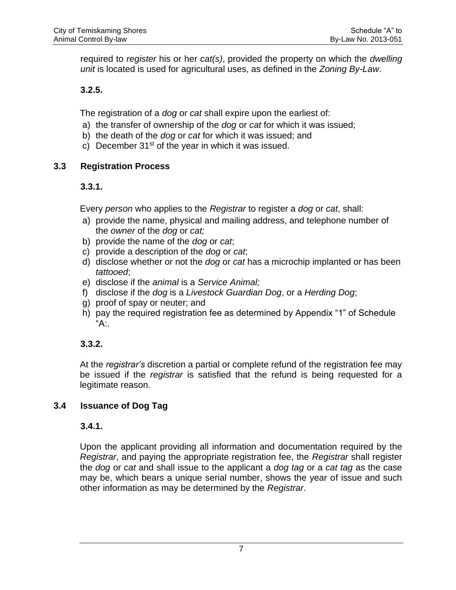required to *register* his or her *cat(s)*, provided the property on which the *dwelling unit* is located is used for agricultural uses, as defined in the *Zoning By-Law*.

## **3.2.5.**

The registration of a *dog* or *cat* shall expire upon the earliest of:

- a) the transfer of ownership of the *dog* or *cat* for which it was issued;
- b) the death of the *dog* or *cat* for which it was issued; and
- c) December  $31<sup>st</sup>$  of the year in which it was issued.

## **3.3 Registration Process**

## **3.3.1.**

Every *person* who applies to the *Registrar* to register a *dog* or *cat*, shall:

- a) provide the name, physical and mailing address, and telephone number of the *owner* of the *dog* or *cat;*
- b) provide the name of the *dog* or *cat*;
- c) provide a description of the *dog* or *cat*;
- d) disclose whether or not the *dog* or *cat* has a microchip implanted or has been *tattooed*;
- e) disclose if the *animal* is a *Service Animal;*
- f) disclose if the *dog* is a *Livestock Guardian Dog*, or a *Herding Dog*;
- g) proof of spay or neuter; and
- h) pay the required registration fee as determined by Appendix "1" of Schedule "A:.

## **3.3.2.**

At the *registrar's* discretion a partial or complete refund of the registration fee may be issued if the *registrar* is satisfied that the refund is being requested for a legitimate reason.

## **3.4 Issuance of Dog Tag**

## **3.4.1.**

Upon the applicant providing all information and documentation required by the *Registrar*, and paying the appropriate registration fee, the *Registrar* shall register the *dog* or *cat* and shall issue to the applicant a *dog tag* or a *cat tag* as the case may be, which bears a unique serial number, shows the year of issue and such other information as may be determined by the *Registrar*.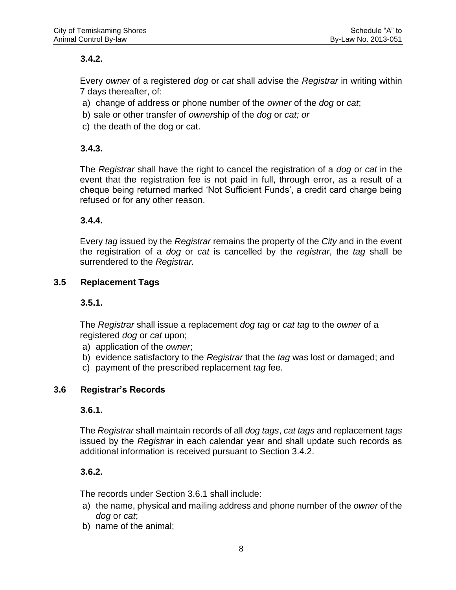## **3.4.2.**

Every *owner* of a registered *dog* or *cat* shall advise the *Registrar* in writing within 7 days thereafter, of:

- a) change of address or phone number of the *owner* of the *dog* or *cat*;
- b) sale or other transfer of *owner*ship of the *dog* or *cat; or*
- c) the death of the dog or cat.

## **3.4.3.**

The *Registrar* shall have the right to cancel the registration of a *dog* or *cat* in the event that the registration fee is not paid in full, through error, as a result of a cheque being returned marked 'Not Sufficient Funds', a credit card charge being refused or for any other reason.

## **3.4.4.**

Every *tag* issued by the *Registrar* remains the property of the *City* and in the event the registration of a *dog* or *cat* is cancelled by the *registrar*, the *tag* shall be surrendered to the *Registrar.*

## **3.5 Replacement Tags**

#### **3.5.1.**

The *Registrar* shall issue a replacement *dog tag* or *cat tag* to the *owner* of a registered *dog* or *cat* upon;

- a) application of the *owner*;
- b) evidence satisfactory to the *Registrar* that the *tag* was lost or damaged; and
- c) payment of the prescribed replacement *tag* fee.

#### **3.6 Registrar's Records**

#### **3.6.1.**

The *Registrar* shall maintain records of all *dog tags*, *cat tags* and replacement *tags* issued by the *Registrar* in each calendar year and shall update such records as additional information is received pursuant to Section 3.4.2.

## **3.6.2.**

The records under Section 3.6.1 shall include:

- a) the name, physical and mailing address and phone number of the *owner* of the *dog* or *cat*;
- b) name of the animal;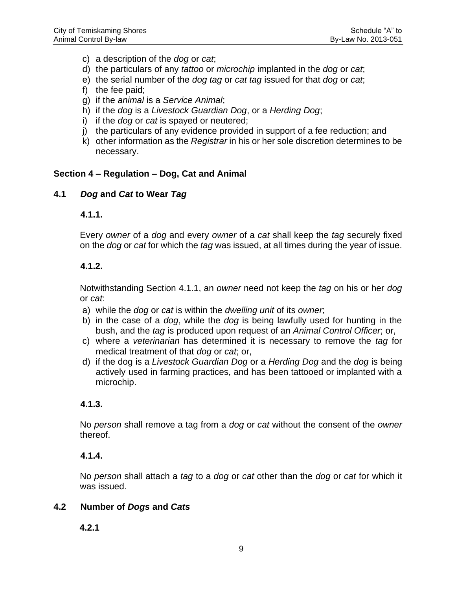- c) a description of the *dog* or *cat*;
- d) the particulars of any *tattoo* or *microchip* implanted in the *dog* or *cat*;
- e) the serial number of the *dog tag* or *cat tag* issued for that *dog* or *cat*;
- f) the fee paid;
- g) if the *animal* is a *Service Animal*;
- h) if the *dog* is a *Livestock Guardian Dog*, or a *Herding Dog*;
- i) if the *dog* or *cat* is spayed or neutered;
- j) the particulars of any evidence provided in support of a fee reduction; and
- k) other information as the *Registrar* in his or her sole discretion determines to be necessary.

#### **Section 4 – Regulation – Dog, Cat and Animal**

#### **4.1** *Dog* **and** *Cat* **to Wear** *Tag*

#### **4.1.1.**

Every *owner* of a *dog* and every *owner* of a *cat* shall keep the *tag* securely fixed on the *dog* or *cat* for which the *tag* was issued, at all times during the year of issue.

#### **4.1.2.**

Notwithstanding Section 4.1.1, an *owner* need not keep the *tag* on his or her *dog* or *cat*:

- a) while the *dog* or *cat* is within the *dwelling unit* of its *owner*;
- b) in the case of a *dog*, while the *dog* is being lawfully used for hunting in the bush, and the *tag* is produced upon request of an *Animal Control Officer*; or,
- c) where a *veterinarian* has determined it is necessary to remove the *tag* for medical treatment of that *dog* or *cat*; or,
- d) if the dog is a *Livestock Guardian Dog* or a *Herding Dog* and the *dog* is being actively used in farming practices, and has been tattooed or implanted with a microchip.

#### **4.1.3.**

No *person* shall remove a tag from a *dog* or *cat* without the consent of the *owner* thereof.

#### **4.1.4.**

No *person* shall attach a *tag* to a *dog* or *cat* other than the *dog* or *cat* for which it was issued.

#### **4.2 Number of** *Dogs* **and** *Cats*

#### **4.2.1**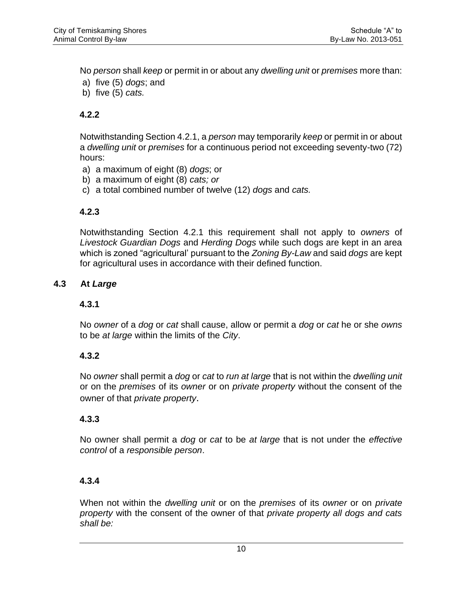No *person* shall *keep* or permit in or about any *dwelling unit* or *premises* more than:

- a) five (5) *dogs*; and
- b) five (5) *cats.*

## **4.2.2**

Notwithstanding Section 4.2.1, a *person* may temporarily *keep* or permit in or about a *dwelling unit* or *premises* for a continuous period not exceeding seventy-two (72) hours:

- a) a maximum of eight (8) *dogs*; or
- b) a maximum of eight (8) *cats; or*
- c) a total combined number of twelve (12) *dogs* and *cats.*

#### **4.2.3**

Notwithstanding Section 4.2.1 this requirement shall not apply to *owners* of *Livestock Guardian Dogs* and *Herding Dogs* while such dogs are kept in an area which is zoned "agricultural' pursuant to the *Zoning By-Law* and said *dogs* are kept for agricultural uses in accordance with their defined function.

#### **4.3 At** *Large*

#### **4.3.1**

No *owner* of a *dog* or *cat* shall cause, allow or permit a *dog* or *cat* he or she *owns* to be *at large* within the limits of the *City*.

#### **4.3.2**

No *owner* shall permit a *dog* or *cat* to *run at large* that is not within the *dwelling unit* or on the *premises* of its *owner* or on *private property* without the consent of the owner of that *private property*.

#### **4.3.3**

No owner shall permit a *dog* or *cat* to be *at large* that is not under the *effective control* of a *responsible person*.

#### **4.3.4**

When not within the *dwelling unit* or on the *premises* of its *owner* or on *private property* with the consent of the owner of that *private property all dogs and cats shall be:*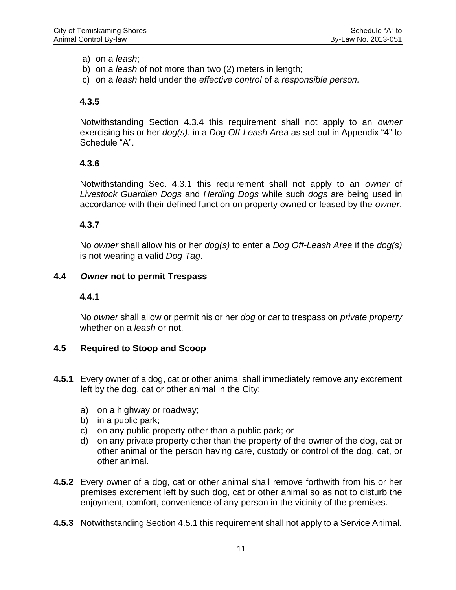a) on a *leash*;

- b) on a *leash* of not more than two (2) meters in length;
- c) on a *leash* held under the *effective control* of a *responsible person.*

#### **4.3.5**

Notwithstanding Section 4.3.4 this requirement shall not apply to an *owner* exercising his or her *dog(s)*, in a *Dog Off-Leash Area* as set out in Appendix "4" to Schedule "A".

#### **4.3.6**

Notwithstanding Sec. 4.3.1 this requirement shall not apply to an *owner* of *Livestock Guardian Dogs* and *Herding Dogs* while such *dogs* are being used in accordance with their defined function on property owned or leased by the *owner*.

#### **4.3.7**

No *owner* shall allow his or her *dog(s)* to enter a *Dog Off-Leash Area* if the *dog(s)* is not wearing a valid *Dog Tag*.

#### **4.4** *Owner* **not to permit Trespass**

#### **4.4.1**

No *owner* shall allow or permit his or her *dog* or *cat* to trespass on *private property* whether on a *leash* or not.

#### **4.5 Required to Stoop and Scoop**

- **4.5.1** Every owner of a dog, cat or other animal shall immediately remove any excrement left by the dog, cat or other animal in the City:
	- a) on a highway or roadway;
	- b) in a public park;
	- c) on any public property other than a public park; or
	- d) on any private property other than the property of the owner of the dog, cat or other animal or the person having care, custody or control of the dog, cat, or other animal.
- **4.5.2** Every owner of a dog, cat or other animal shall remove forthwith from his or her premises excrement left by such dog, cat or other animal so as not to disturb the enjoyment, comfort, convenience of any person in the vicinity of the premises.
- **4.5.3** Notwithstanding Section 4.5.1 this requirement shall not apply to a Service Animal.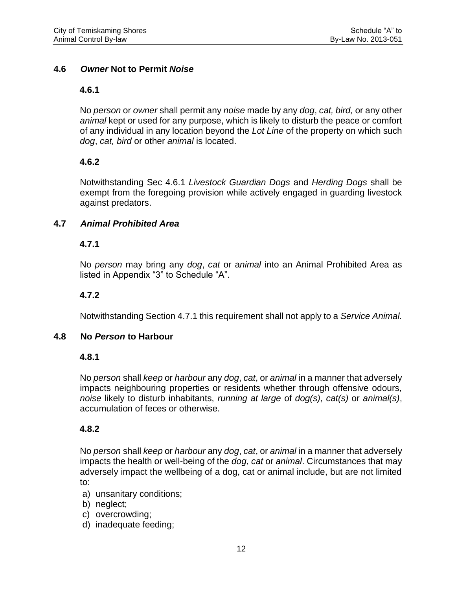#### **4.6** *Owner* **Not to Permit** *Noise*

#### **4.6.1**

No *person* or *owner* shall permit any *noise* made by any *dog*, *cat, bird,* or any other *animal* kept or used for any purpose, which is likely to disturb the peace or comfort of any individual in any location beyond the *Lot Line* of the property on which such *dog*, *cat, bird* or other *animal* is located.

#### **4.6.2**

Notwithstanding Sec 4.6.1 *Livestock Guardian Dogs* and *Herding Dogs* shall be exempt from the foregoing provision while actively engaged in guarding livestock against predators.

#### **4.7** *Animal Prohibited Area*

#### **4.7.1**

No *person* may bring any *dog*, *cat* or a*nimal* into an Animal Prohibited Area as listed in Appendix "3" to Schedule "A".

#### **4.7.2**

Notwithstanding Section 4.7.1 this requirement shall not apply to a *Service Animal.*

#### **4.8 No** *Person* **to Harbour**

#### **4.8.1**

No *person* shall *keep* or *harbour* any *dog*, *cat*, or *animal* in a manner that adversely impacts neighbouring properties or residents whether through offensive odours, *noise* likely to disturb inhabitants, *running at large* of *dog(s)*, *cat(s)* or *animal(s)*, accumulation of feces or otherwise.

#### **4.8.2**

No *person* shall *keep* or *harbour* any *dog*, *cat*, or *animal* in a manner that adversely impacts the health or well-being of the *dog*, *cat* or *animal*. Circumstances that may adversely impact the wellbeing of a dog, cat or animal include, but are not limited to:

- a) unsanitary conditions;
- b) neglect;
- c) overcrowding;
- d) inadequate feeding;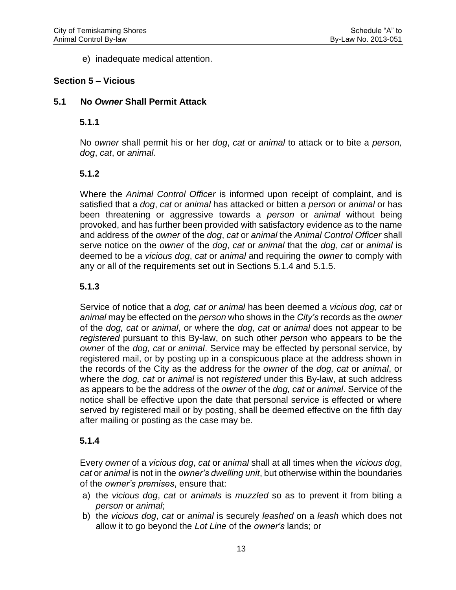e) inadequate medical attention.

## **Section 5 – Vicious**

## **5.1 No** *Owner* **Shall Permit Attack**

#### **5.1.1**

No *owner* shall permit his or her *dog*, *cat* or *animal* to attack or to bite a *person, dog*, *cat*, or *animal*.

## **5.1.2**

Where the *Animal Control Officer* is informed upon receipt of complaint, and is satisfied that a *dog*, *cat* or *animal* has attacked or bitten a *person* or *animal* or has been threatening or aggressive towards a *person* or *animal* without being provoked, and has further been provided with satisfactory evidence as to the name and address of the *owner* of the *dog*, *cat* or *animal* the *Animal Control Officer* shall serve notice on the *owner* of the *dog*, *cat* or *animal* that the *dog*, *cat* or *animal* is deemed to be a *vicious dog*, *cat* or *animal* and requiring the *owner* to comply with any or all of the requirements set out in Sections 5.1.4 and 5.1.5.

## **5.1.3**

Service of notice that a *dog, cat or animal* has been deemed a *vicious dog, cat* or *animal* may be effected on the *person* who shows in the *City's* records as the *owner* of the *dog, cat* or *animal*, or where the *dog, cat* or *animal* does not appear to be *registered* pursuant to this By-law, on such other *person* who appears to be the *owner* of the *dog, cat or animal*. Service may be effected by personal service, by registered mail, or by posting up in a conspicuous place at the address shown in the records of the City as the address for the *owner* of the *dog, cat* or *animal*, or where the *dog, cat* or *animal* is not *registered* under this By-law, at such address as appears to be the address of the *owner* of the *dog, cat* or *animal*. Service of the notice shall be effective upon the date that personal service is effected or where served by registered mail or by posting, shall be deemed effective on the fifth day after mailing or posting as the case may be.

#### **5.1.4**

Every *owner* of a *vicious dog*, *cat* or *animal* shall at all times when the *vicious dog*, *cat* or *animal* is not in the *owner's dwelling unit*, but otherwise within the boundaries of the *owner's premises*, ensure that:

- a) the *vicious dog*, *cat* or *animals* is *muzzled* so as to prevent it from biting a *person* or *animal*;
- b) the *vicious dog*, *cat* or *animal* is securely *leashed* on a *leash* which does not allow it to go beyond the *Lot Line* of the *owner's* lands; or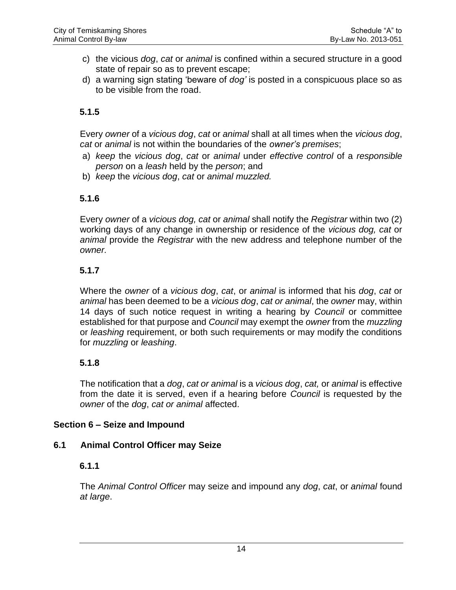- c) the vicious *dog*, *cat* or *animal* is confined within a secured structure in a good state of repair so as to prevent escape;
- d) a warning sign stating 'beware of *dog'* is posted in a conspicuous place so as to be visible from the road.

## **5.1.5**

Every *owner* of a *vicious dog*, *cat* or *animal* shall at all times when the *vicious dog*, *cat* or *animal* is not within the boundaries of the *owner's premises*;

- a) *keep* the *vicious dog*, *cat* or *animal* under *effective control* of a *responsible person* on a *leash* held by the *person*; and
- b) *keep* the *vicious dog*, *cat* or *animal muzzled.*

#### **5.1.6**

Every *owner* of a *vicious dog, cat* or *animal* shall notify the *Registrar* within two (2) working days of any change in ownership or residence of the *vicious dog, cat* or *animal* provide the *Registrar* with the new address and telephone number of the *owner.*

#### **5.1.7**

Where the *owner* of a *vicious dog*, *cat*, or *animal* is informed that his *dog*, *cat* or *animal* has been deemed to be a *vicious dog*, *cat or animal*, the *owner* may, within 14 days of such notice request in writing a hearing by *Council* or committee established for that purpose and *Council* may exempt the *owner* from the *muzzling* or *leashing* requirement, or both such requirements or may modify the conditions for *muzzling* or *leashing*.

#### **5.1.8**

The notification that a *dog*, *cat or animal* is a *vicious dog*, *cat,* or *animal* is effective from the date it is served, even if a hearing before *Council* is requested by the *owner* of the *dog*, *cat or animal* affected.

#### **Section 6 – Seize and Impound**

#### **6.1 Animal Control Officer may Seize**

#### **6.1.1**

The *Animal Control Officer* may seize and impound any *dog*, *cat*, or *animal* found *at large*.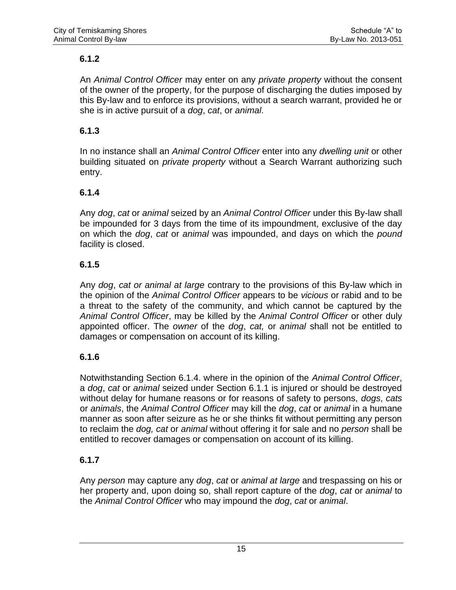## **6.1.2**

An *Animal Control Officer* may enter on any *private property* without the consent of the owner of the property, for the purpose of discharging the duties imposed by this By-law and to enforce its provisions, without a search warrant, provided he or she is in active pursuit of a *dog*, *cat*, or *animal*.

## **6.1.3**

In no instance shall an *Animal Control Officer* enter into any *dwelling unit* or other building situated on *private property* without a Search Warrant authorizing such entry.

## **6.1.4**

Any *dog*, *cat* or *animal* seized by an *Animal Control Officer* under this By-law shall be impounded for 3 days from the time of its impoundment, exclusive of the day on which the *dog*, *cat* or *animal* was impounded, and days on which the *pound* facility is closed.

## **6.1.5**

Any *dog*, *cat or animal at large* contrary to the provisions of this By-law which in the opinion of the *Animal Control Officer* appears to be *vicious* or rabid and to be a threat to the safety of the community, and which cannot be captured by the *Animal Control Officer*, may be killed by the *Animal Control Officer* or other duly appointed officer. The *owner* of the *dog*, *cat,* or *animal* shall not be entitled to damages or compensation on account of its killing.

#### **6.1.6**

Notwithstanding Section 6.1.4. where in the opinion of the *Animal Control Officer*, a *dog*, *cat* or *animal* seized under Section 6.1.1 is injured or should be destroyed without delay for humane reasons or for reasons of safety to persons, *dogs*, *cats* or *animals*, the *Animal Control Officer* may kill the *dog*, *cat* or *animal* in a humane manner as soon after seizure as he or she thinks fit without permitting any person to reclaim the *dog, cat* or *animal* without offering it for sale and no *person* shall be entitled to recover damages or compensation on account of its killing.

## **6.1.7**

Any *person* may capture any *dog*, *cat* or *animal at large* and trespassing on his or her property and, upon doing so, shall report capture of the *dog*, *cat* or *animal* to the *Animal Control Officer* who may impound the *dog*, *cat* or *animal*.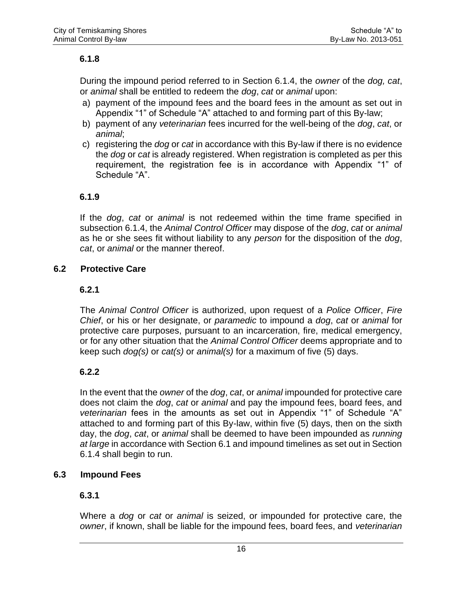#### **6.1.8**

During the impound period referred to in Section 6.1.4, the *owner* of the *dog, cat*, or *animal* shall be entitled to redeem the *dog*, *cat* or *animal* upon:

- a) payment of the impound fees and the board fees in the amount as set out in Appendix "1" of Schedule "A" attached to and forming part of this By-law;
- b) payment of any *veterinarian* fees incurred for the well-being of the *dog*, *cat*, or *animal*;
- c) registering the *dog* or *cat* in accordance with this By-law if there is no evidence the *dog* or *cat* is already registered. When registration is completed as per this requirement, the registration fee is in accordance with Appendix "1" of Schedule "A".

#### **6.1.9**

If the *dog*, *cat* or *animal* is not redeemed within the time frame specified in subsection 6.1.4, the *Animal Control Officer* may dispose of the *dog*, *cat* or *animal* as he or she sees fit without liability to any *person* for the disposition of the *dog*, *cat*, or *animal* or the manner thereof.

#### **6.2 Protective Care**

#### **6.2.1**

The *Animal Control Officer* is authorized, upon request of a *Police Officer*, *Fire Chief*, or his or her designate, or *paramedic* to impound a *dog*, *cat* or *animal* for protective care purposes, pursuant to an incarceration, fire, medical emergency, or for any other situation that the *Animal Control Officer* deems appropriate and to keep such *dog(s)* or *cat(s)* or *animal(s)* for a maximum of five (5) days.

#### **6.2.2**

In the event that the *owner* of the *dog*, *cat*, or *animal* impounded for protective care does not claim the *dog*, *cat* or *animal* and pay the impound fees, board fees, and *veterinarian* fees in the amounts as set out in Appendix "1" of Schedule "A" attached to and forming part of this By-law, within five (5) days, then on the sixth day, the *dog*, *cat*, or *animal* shall be deemed to have been impounded as *running at large* in accordance with Section 6.1 and impound timelines as set out in Section 6.1.4 shall begin to run.

#### **6.3 Impound Fees**

#### **6.3.1**

Where a *dog* or *cat* or *animal* is seized, or impounded for protective care, the *owner*, if known, shall be liable for the impound fees, board fees, and *veterinarian*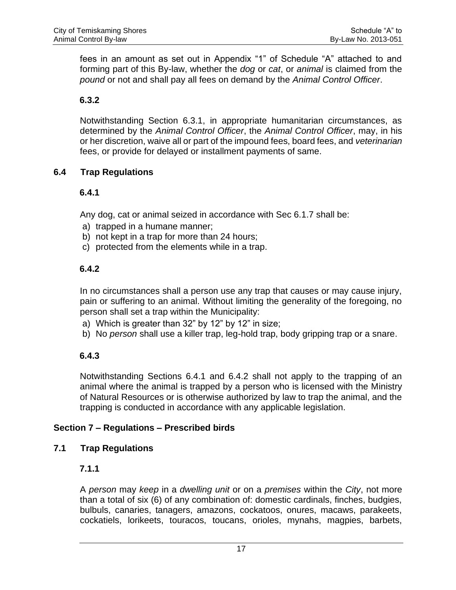fees in an amount as set out in Appendix "1" of Schedule "A" attached to and forming part of this By-law, whether the *dog* or *cat*, or *animal* is claimed from the *pound* or not and shall pay all fees on demand by the *Animal Control Officer*.

## **6.3.2**

Notwithstanding Section 6.3.1, in appropriate humanitarian circumstances, as determined by the *Animal Control Officer*, the *Animal Control Officer*, may, in his or her discretion, waive all or part of the impound fees, board fees, and *veterinarian* fees, or provide for delayed or installment payments of same.

#### **6.4 Trap Regulations**

## **6.4.1**

Any dog, cat or animal seized in accordance with Sec 6.1.7 shall be:

- a) trapped in a humane manner;
- b) not kept in a trap for more than 24 hours;
- c) protected from the elements while in a trap.

## **6.4.2**

In no circumstances shall a person use any trap that causes or may cause injury, pain or suffering to an animal. Without limiting the generality of the foregoing, no person shall set a trap within the Municipality:

- a) Which is greater than 32" by 12" by 12" in size;
- b) No *person* shall use a killer trap, leg-hold trap, body gripping trap or a snare.

## **6.4.3**

Notwithstanding Sections 6.4.1 and 6.4.2 shall not apply to the trapping of an animal where the animal is trapped by a person who is licensed with the Ministry of Natural Resources or is otherwise authorized by law to trap the animal, and the trapping is conducted in accordance with any applicable legislation.

#### **Section 7 – Regulations – Prescribed birds**

#### **7.1 Trap Regulations**

#### **7.1.1**

A *person* may *keep* in a *dwelling unit* or on a *premises* within the *City*, not more than a total of six (6) of any combination of: domestic cardinals, finches, budgies, bulbuls, canaries, tanagers, amazons, cockatoos, onures, macaws, parakeets, cockatiels, lorikeets, touracos, toucans, orioles, mynahs, magpies, barbets,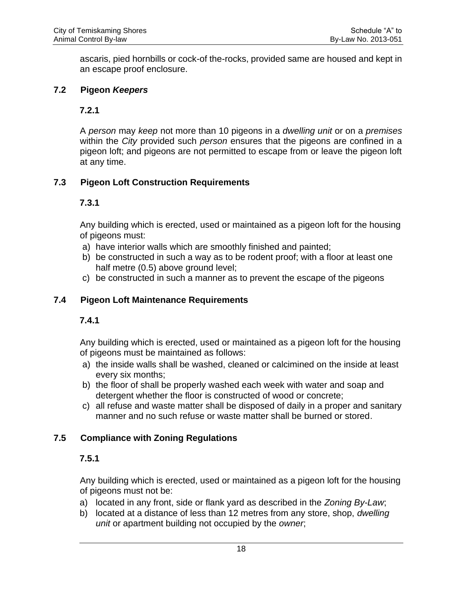ascaris, pied hornbills or cock-of the-rocks, provided same are housed and kept in an escape proof enclosure.

#### **7.2 Pigeon** *Keepers*

## **7.2.1**

A *person* may *keep* not more than 10 pigeons in a *dwelling unit* or on a *premises* within the *City* provided such *person* ensures that the pigeons are confined in a pigeon loft; and pigeons are not permitted to escape from or leave the pigeon loft at any time.

## **7.3 Pigeon Loft Construction Requirements**

#### **7.3.1**

Any building which is erected, used or maintained as a pigeon loft for the housing of pigeons must:

- a) have interior walls which are smoothly finished and painted;
- b) be constructed in such a way as to be rodent proof; with a floor at least one half metre (0.5) above ground level;
- c) be constructed in such a manner as to prevent the escape of the pigeons

#### **7.4 Pigeon Loft Maintenance Requirements**

## **7.4.1**

Any building which is erected, used or maintained as a pigeon loft for the housing of pigeons must be maintained as follows:

- a) the inside walls shall be washed, cleaned or calcimined on the inside at least every six months;
- b) the floor of shall be properly washed each week with water and soap and detergent whether the floor is constructed of wood or concrete;
- c) all refuse and waste matter shall be disposed of daily in a proper and sanitary manner and no such refuse or waste matter shall be burned or stored.

## **7.5 Compliance with Zoning Regulations**

## **7.5.1**

Any building which is erected, used or maintained as a pigeon loft for the housing of pigeons must not be:

- a) located in any front, side or flank yard as described in the *Zoning By-Law*;
- b) located at a distance of less than 12 metres from any store, shop, *dwelling unit* or apartment building not occupied by the *owner*;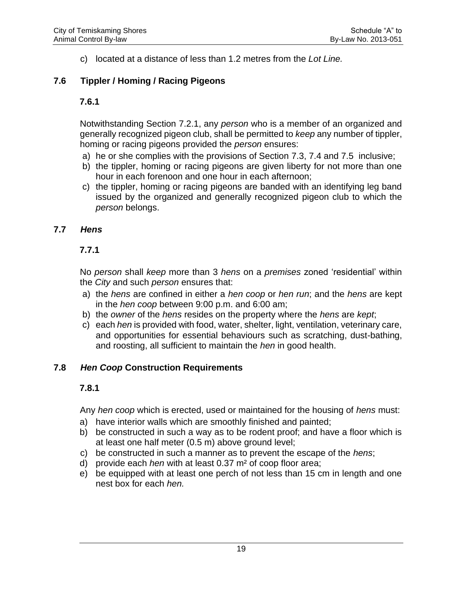c) located at a distance of less than 1.2 metres from the *Lot Line.*

## **7.6 Tippler / Homing / Racing Pigeons**

#### **7.6.1**

Notwithstanding Section 7.2.1, any *person* who is a member of an organized and generally recognized pigeon club, shall be permitted to *keep* any number of tippler, homing or racing pigeons provided the *person* ensures:

- a) he or she complies with the provisions of Section 7.3, 7.4 and 7.5 inclusive;
- b) the tippler, homing or racing pigeons are given liberty for not more than one hour in each forenoon and one hour in each afternoon;
- c) the tippler, homing or racing pigeons are banded with an identifying leg band issued by the organized and generally recognized pigeon club to which the *person* belongs.

## **7.7** *Hens*

## **7.7.1**

No *person* shall *keep* more than 3 *hens* on a *premises* zoned 'residential' within the *City* and such *person* ensures that:

- a) the *hens* are confined in either a *hen coop* or *hen run*; and the *hens* are kept in the *hen coop* between 9:00 p.m. and 6:00 am;
- b) the *owner* of the *hens* resides on the property where the *hens* are *kept*;
- c) each *hen* is provided with food, water, shelter, light, ventilation, veterinary care, and opportunities for essential behaviours such as scratching, dust-bathing, and roosting, all sufficient to maintain the *hen* in good health.

#### **7.8** *Hen Coop* **Construction Requirements**

## **7.8.1**

Any *hen coop* which is erected, used or maintained for the housing of *hens* must:

- a) have interior walls which are smoothly finished and painted;
- b) be constructed in such a way as to be rodent proof; and have a floor which is at least one half meter (0.5 m) above ground level;
- c) be constructed in such a manner as to prevent the escape of the *hens*;
- d) provide each *hen* with at least 0.37 m² of coop floor area;
- e) be equipped with at least one perch of not less than 15 cm in length and one nest box for each *hen.*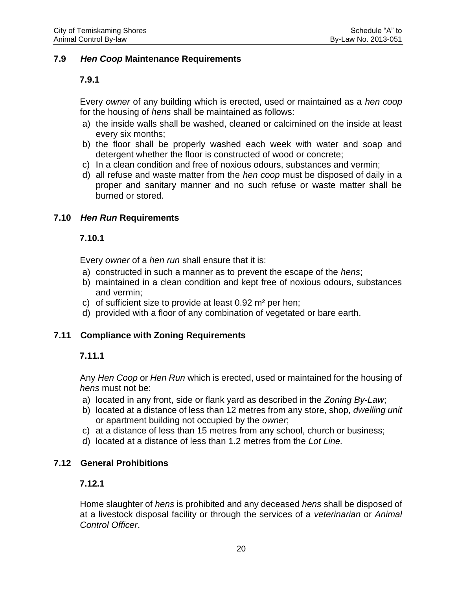#### **7.9** *Hen Coop* **Maintenance Requirements**

#### **7.9.1**

Every *owner* of any building which is erected, used or maintained as a *hen coop* for the housing of *hens* shall be maintained as follows:

- a) the inside walls shall be washed, cleaned or calcimined on the inside at least every six months;
- b) the floor shall be properly washed each week with water and soap and detergent whether the floor is constructed of wood or concrete;
- c) In a clean condition and free of noxious odours, substances and vermin;
- d) all refuse and waste matter from the *hen coop* must be disposed of daily in a proper and sanitary manner and no such refuse or waste matter shall be burned or stored.

#### **7.10** *Hen Run* **Requirements**

#### **7.10.1**

Every *owner* of a *hen run* shall ensure that it is:

- a) constructed in such a manner as to prevent the escape of the *hens*;
- b) maintained in a clean condition and kept free of noxious odours, substances and vermin;
- c) of sufficient size to provide at least  $0.92$  m<sup>2</sup> per hen;
- d) provided with a floor of any combination of vegetated or bare earth.

#### **7.11 Compliance with Zoning Requirements**

#### **7.11.1**

Any *Hen Coop* or *Hen Run* which is erected, used or maintained for the housing of *hens* must not be:

- a) located in any front, side or flank yard as described in the *Zoning By-Law*;
- b) located at a distance of less than 12 metres from any store, shop, *dwelling unit* or apartment building not occupied by the *owner*;
- c) at a distance of less than 15 metres from any school, church or business;
- d) located at a distance of less than 1.2 metres from the *Lot Line.*

#### **7.12 General Prohibitions**

#### **7.12.1**

Home slaughter of *hens* is prohibited and any deceased *hens* shall be disposed of at a livestock disposal facility or through the services of a *veterinarian* or *Animal Control Officer*.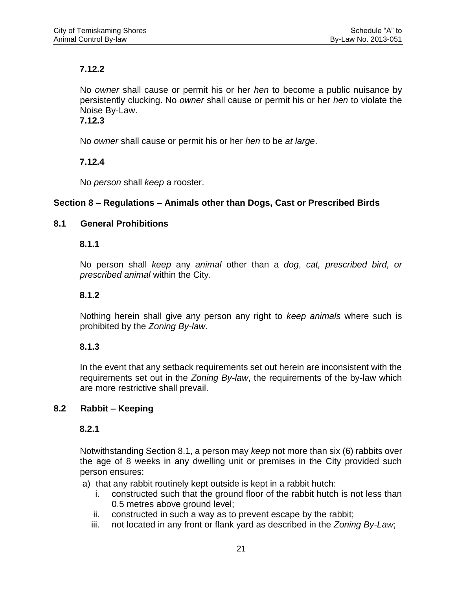## **7.12.2**

No *owner* shall cause or permit his or her *hen* to become a public nuisance by persistently clucking. No *owner* shall cause or permit his or her *hen* to violate the Noise By-Law.

## **7.12.3**

No *owner* shall cause or permit his or her *hen* to be *at large*.

## **7.12.4**

No *person* shall *keep* a rooster.

## **Section 8 – Regulations – Animals other than Dogs, Cast or Prescribed Birds**

## **8.1 General Prohibitions**

## **8.1.1**

No person shall *keep* any *animal* other than a *dog*, *cat, prescribed bird, or prescribed animal* within the City.

## **8.1.2**

Nothing herein shall give any person any right to *keep animals* where such is prohibited by the *Zoning By-law*.

## **8.1.3**

In the event that any setback requirements set out herein are inconsistent with the requirements set out in the *Zoning By-law*, the requirements of the by-law which are more restrictive shall prevail.

## **8.2 Rabbit – Keeping**

## **8.2.1**

Notwithstanding Section 8.1, a person may *keep* not more than six (6) rabbits over the age of 8 weeks in any dwelling unit or premises in the City provided such person ensures:

- a) that any rabbit routinely kept outside is kept in a rabbit hutch:
	- i. constructed such that the ground floor of the rabbit hutch is not less than 0.5 metres above ground level;
	- ii. constructed in such a way as to prevent escape by the rabbit;
	- iii. not located in any front or flank yard as described in the *Zoning By-Law*;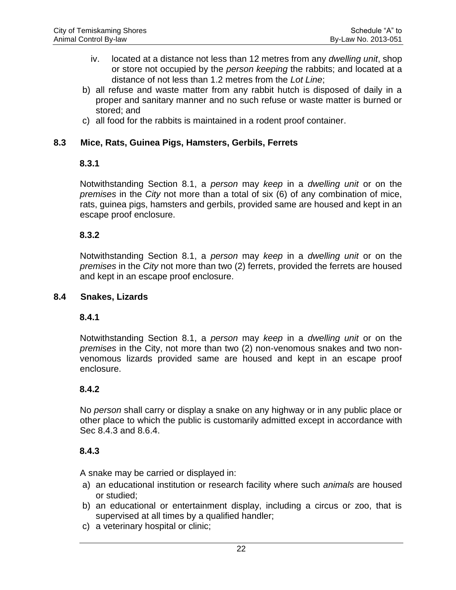- iv. located at a distance not less than 12 metres from any *dwelling unit*, shop or store not occupied by the *person keeping* the rabbits; and located at a distance of not less than 1.2 metres from the *Lot Line*;
- b) all refuse and waste matter from any rabbit hutch is disposed of daily in a proper and sanitary manner and no such refuse or waste matter is burned or stored; and
- c) all food for the rabbits is maintained in a rodent proof container.

#### **8.3 Mice, Rats, Guinea Pigs, Hamsters, Gerbils, Ferrets**

#### **8.3.1**

Notwithstanding Section 8.1, a *person* may *keep* in a *dwelling unit* or on the *premises* in the *City* not more than a total of six (6) of any combination of mice, rats, guinea pigs, hamsters and gerbils, provided same are housed and kept in an escape proof enclosure.

#### **8.3.2**

Notwithstanding Section 8.1, a *person* may *keep* in a *dwelling unit* or on the *premises* in the *City* not more than two (2) ferrets, provided the ferrets are housed and kept in an escape proof enclosure.

#### **8.4 Snakes, Lizards**

#### **8.4.1**

Notwithstanding Section 8.1, a *person* may *keep* in a *dwelling unit* or on the *premises* in the City, not more than two (2) non-venomous snakes and two nonvenomous lizards provided same are housed and kept in an escape proof enclosure.

#### **8.4.2**

No *person* shall carry or display a snake on any highway or in any public place or other place to which the public is customarily admitted except in accordance with Sec 8.4.3 and 8.6.4.

#### **8.4.3**

A snake may be carried or displayed in:

- a) an educational institution or research facility where such *animals* are housed or studied;
- b) an educational or entertainment display, including a circus or zoo, that is supervised at all times by a qualified handler;
- c) a veterinary hospital or clinic;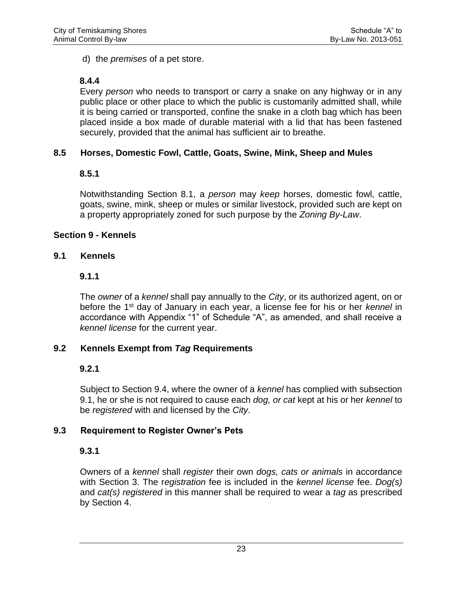d) the *premises* of a pet store.

## **8.4.4**

Every *person* who needs to transport or carry a snake on any highway or in any public place or other place to which the public is customarily admitted shall, while it is being carried or transported, confine the snake in a cloth bag which has been placed inside a box made of durable material with a lid that has been fastened securely, provided that the animal has sufficient air to breathe.

## **8.5 Horses, Domestic Fowl, Cattle, Goats, Swine, Mink, Sheep and Mules**

## **8.5.1**

Notwithstanding Section 8.1, a *person* may *keep* horses, domestic fowl, cattle, goats, swine, mink, sheep or mules or similar livestock, provided such are kept on a property appropriately zoned for such purpose by the *Zoning By-Law*.

## **Section 9 - Kennels**

## **9.1 Kennels**

## **9.1.1**

The *owner* of a *kennel* shall pay annually to the *City*, or its authorized agent, on or before the 1st day of January in each year, a license fee for his or her *kennel* in accordance with Appendix "1" of Schedule "A", as amended, and shall receive a *kennel license* for the current year.

## **9.2 Kennels Exempt from** *Tag* **Requirements**

## **9.2.1**

Subject to Section 9.4, where the owner of a *kennel* has complied with subsection 9.1, he or she is not required to cause each *dog, or cat* kept at his or her *kennel* to be *registered* with and licensed by the *City*.

## **9.3 Requirement to Register Owner's Pets**

## **9.3.1**

Owners of a *kennel* shall *register* their own *dogs, cats or animals* in accordance with Section 3. The r*egistration* fee is included in the *kennel license* fee. *Dog(s)* and *cat(s) registered* in this manner shall be required to wear a *tag* as prescribed by Section 4.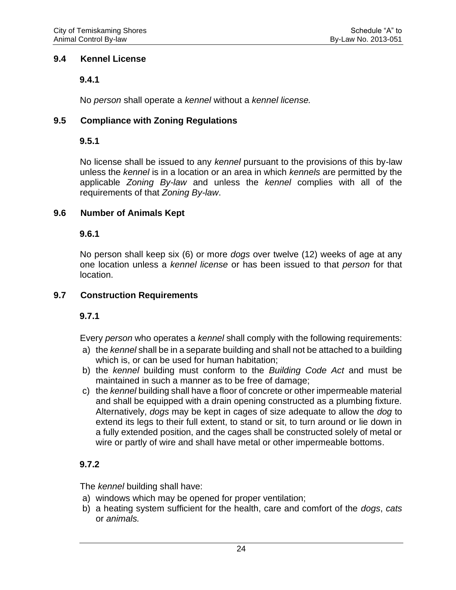#### **9.4 Kennel License**

## **9.4.1**

No *person* shall operate a *kennel* without a *kennel license.*

## **9.5 Compliance with Zoning Regulations**

## **9.5.1**

No license shall be issued to any *kennel* pursuant to the provisions of this by-law unless the *kennel* is in a location or an area in which *kennels* are permitted by the applicable *Zoning By-law* and unless the *kennel* complies with all of the requirements of that *Zoning By-law*.

## **9.6 Number of Animals Kept**

## **9.6.1**

No person shall keep six (6) or more *dogs* over twelve (12) weeks of age at any one location unless a *kennel license* or has been issued to that *person* for that location.

## **9.7 Construction Requirements**

## **9.7.1**

Every *person* who operates a *kennel* shall comply with the following requirements:

- a) the *kennel* shall be in a separate building and shall not be attached to a building which is, or can be used for human habitation;
- b) the *kennel* building must conform to the *Building Code Act* and must be maintained in such a manner as to be free of damage;
- c) the *kennel* building shall have a floor of concrete or other impermeable material and shall be equipped with a drain opening constructed as a plumbing fixture. Alternatively, *dogs* may be kept in cages of size adequate to allow the *dog* to extend its legs to their full extent, to stand or sit, to turn around or lie down in a fully extended position, and the cages shall be constructed solely of metal or wire or partly of wire and shall have metal or other impermeable bottoms.

## **9.7.2**

The *kennel* building shall have:

- a) windows which may be opened for proper ventilation;
- b) a heating system sufficient for the health, care and comfort of the *dogs*, *cats* or *animals.*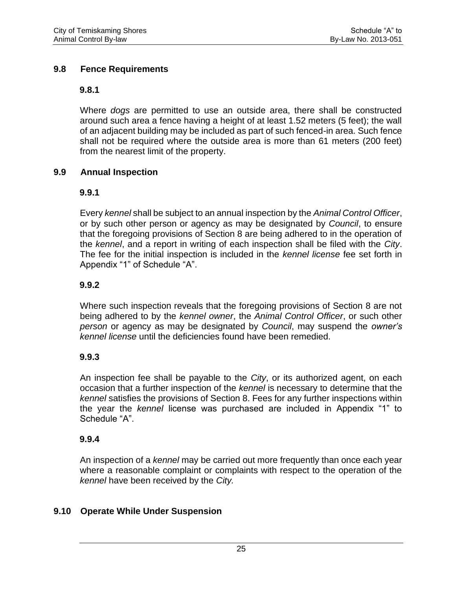#### **9.8 Fence Requirements**

#### **9.8.1**

Where *dogs* are permitted to use an outside area, there shall be constructed around such area a fence having a height of at least 1.52 meters (5 feet); the wall of an adjacent building may be included as part of such fenced-in area. Such fence shall not be required where the outside area is more than 61 meters (200 feet) from the nearest limit of the property.

#### **9.9 Annual Inspection**

#### **9.9.1**

Every *kennel* shall be subject to an annual inspection by the *Animal Control Officer*, or by such other person or agency as may be designated by *Council*, to ensure that the foregoing provisions of Section 8 are being adhered to in the operation of the *kennel*, and a report in writing of each inspection shall be filed with the *City*. The fee for the initial inspection is included in the *kennel license* fee set forth in Appendix "1" of Schedule "A".

#### **9.9.2**

Where such inspection reveals that the foregoing provisions of Section 8 are not being adhered to by the *kennel owner*, the *Animal Control Officer*, or such other *person* or agency as may be designated by *Council*, may suspend the *owner's kennel license* until the deficiencies found have been remedied.

#### **9.9.3**

An inspection fee shall be payable to the *City*, or its authorized agent, on each occasion that a further inspection of the *kennel* is necessary to determine that the *kennel* satisfies the provisions of Section 8. Fees for any further inspections within the year the *kennel* license was purchased are included in Appendix "1" to Schedule "A".

#### **9.9.4**

An inspection of a *kennel* may be carried out more frequently than once each year where a reasonable complaint or complaints with respect to the operation of the *kennel* have been received by the *City.*

#### **9.10 Operate While Under Suspension**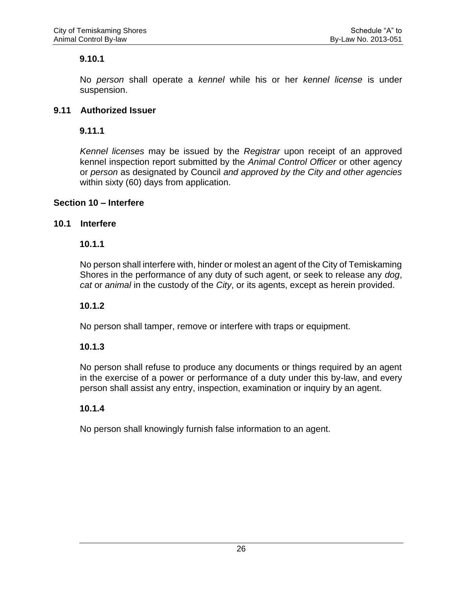#### **9.10.1**

No *person* shall operate a *kennel* while his or her *kennel license* is under suspension.

#### **9.11 Authorized Issuer**

#### **9.11.1**

*Kennel licenses* may be issued by the *Registrar* upon receipt of an approved kennel inspection report submitted by the *Animal Control Officer* or other agency or *person* as designated by Council *and approved by the City and other agencies* within sixty (60) days from application.

#### **Section 10 – Interfere**

#### **10.1 Interfere**

#### **10.1.1**

No person shall interfere with, hinder or molest an agent of the City of Temiskaming Shores in the performance of any duty of such agent, or seek to release any *dog*, *cat* or *animal* in the custody of the *City*, or its agents, except as herein provided.

#### **10.1.2**

No person shall tamper, remove or interfere with traps or equipment.

#### **10.1.3**

No person shall refuse to produce any documents or things required by an agent in the exercise of a power or performance of a duty under this by-law, and every person shall assist any entry, inspection, examination or inquiry by an agent.

#### **10.1.4**

No person shall knowingly furnish false information to an agent.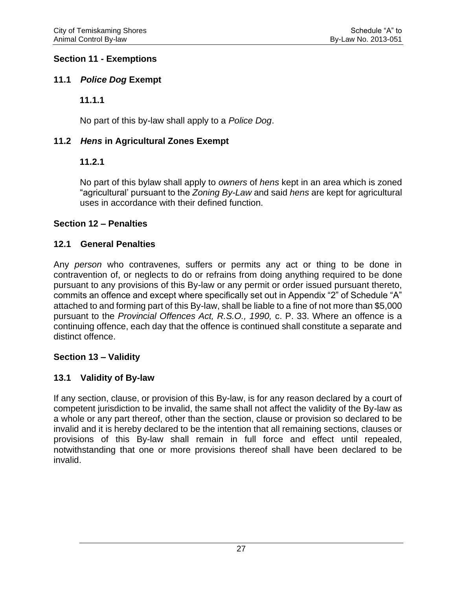#### **Section 11 - Exemptions**

## **11.1** *Police Dog* **Exempt**

## **11.1.1**

No part of this by-law shall apply to a *Police Dog*.

## **11.2** *Hens* **in Agricultural Zones Exempt**

## **11.2.1**

No part of this bylaw shall apply to *owners* of *hens* kept in an area which is zoned "agricultural' pursuant to the *Zoning By-Law* and said *hens* are kept for agricultural uses in accordance with their defined function.

## **Section 12 – Penalties**

## **12.1 General Penalties**

Any *person* who contravenes, suffers or permits any act or thing to be done in contravention of, or neglects to do or refrains from doing anything required to be done pursuant to any provisions of this By-law or any permit or order issued pursuant thereto, commits an offence and except where specifically set out in Appendix "2" of Schedule "A" attached to and forming part of this By-law, shall be liable to a fine of not more than \$5,000 pursuant to the *Provincial Offences Act, R.S.O., 1990,* c. P. 33. Where an offence is a continuing offence, each day that the offence is continued shall constitute a separate and distinct offence.

#### **Section 13 – Validity**

## **13.1 Validity of By-law**

If any section, clause, or provision of this By-law, is for any reason declared by a court of competent jurisdiction to be invalid, the same shall not affect the validity of the By-law as a whole or any part thereof, other than the section, clause or provision so declared to be invalid and it is hereby declared to be the intention that all remaining sections, clauses or provisions of this By-law shall remain in full force and effect until repealed, notwithstanding that one or more provisions thereof shall have been declared to be invalid.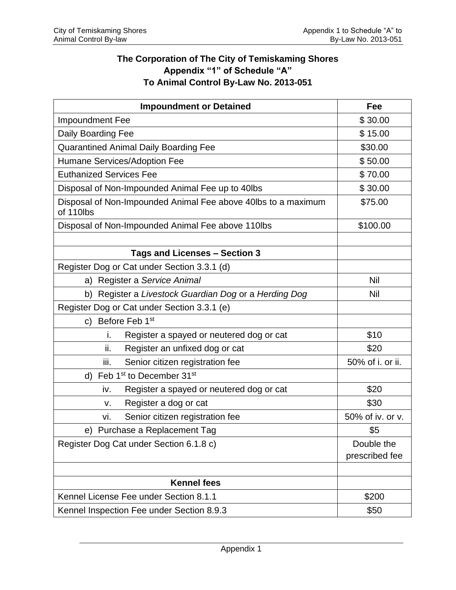## **The Corporation of The City of Temiskaming Shores Appendix "1" of Schedule "A" To Animal Control By-Law No. 2013-051**

| <b>Impoundment or Detained</b>                                             | Fee              |
|----------------------------------------------------------------------------|------------------|
| Impoundment Fee                                                            | \$30.00          |
| Daily Boarding Fee                                                         | \$15.00          |
| <b>Quarantined Animal Daily Boarding Fee</b>                               | \$30.00          |
| Humane Services/Adoption Fee                                               | \$50.00          |
| <b>Euthanized Services Fee</b>                                             | \$70.00          |
| Disposal of Non-Impounded Animal Fee up to 40lbs                           | \$30.00          |
| Disposal of Non-Impounded Animal Fee above 40lbs to a maximum<br>of 110lbs | \$75.00          |
| Disposal of Non-Impounded Animal Fee above 110lbs                          | \$100.00         |
|                                                                            |                  |
| Tags and Licenses - Section 3                                              |                  |
| Register Dog or Cat under Section 3.3.1 (d)                                |                  |
| a) Register a Service Animal                                               | <b>Nil</b>       |
| b) Register a Livestock Guardian Dog or a Herding Dog                      | Nil              |
| Register Dog or Cat under Section 3.3.1 (e)                                |                  |
| c) Before Feb 1st                                                          |                  |
| i.<br>Register a spayed or neutered dog or cat                             | \$10             |
| ii.<br>Register an unfixed dog or cat                                      | \$20             |
| iii.<br>Senior citizen registration fee                                    | 50% of i. or ii. |
| d) Feb 1 <sup>st</sup> to December 31 <sup>st</sup>                        |                  |
| Register a spayed or neutered dog or cat<br>iv.                            | \$20             |
| Register a dog or cat<br>ν.                                                | \$30             |
| Senior citizen registration fee<br>vi.                                     | 50% of iv. or v. |
| e) Purchase a Replacement Tag                                              | \$5              |
| Register Dog Cat under Section 6.1.8 c)                                    | Double the       |
|                                                                            | prescribed fee   |
|                                                                            |                  |
| <b>Kennel fees</b>                                                         |                  |
| Kennel License Fee under Section 8.1.1                                     | \$200            |
| Kennel Inspection Fee under Section 8.9.3                                  | \$50             |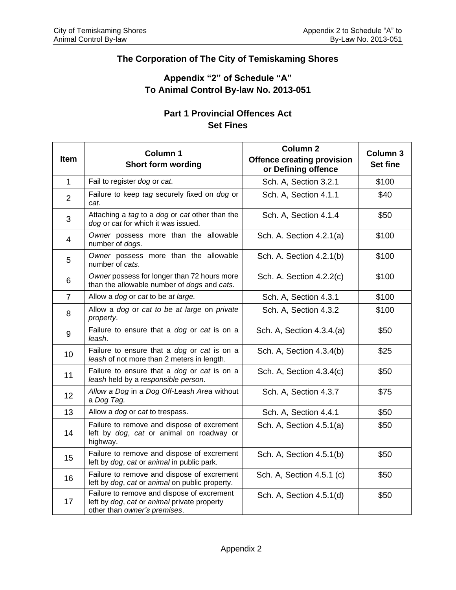## **The Corporation of The City of Temiskaming Shores**

## **Appendix "2" of Schedule "A" To Animal Control By-law No. 2013-051**

## **Part 1 Provincial Offences Act Set Fines**

| <b>Item</b>    | Column 1<br><b>Short form wording</b>                                                                                     | <b>Column 2</b><br><b>Offence creating provision</b><br>or Defining offence | Column 3<br><b>Set fine</b> |
|----------------|---------------------------------------------------------------------------------------------------------------------------|-----------------------------------------------------------------------------|-----------------------------|
| $\mathbf{1}$   | Fail to register dog or cat.                                                                                              | Sch. A, Section 3.2.1                                                       | \$100                       |
| $\overline{2}$ | Failure to keep tag securely fixed on dog or<br>cat.                                                                      | Sch. A, Section 4.1.1                                                       | \$40                        |
| 3              | Attaching a tag to a dog or cat other than the<br>dog or cat for which it was issued.                                     | Sch. A, Section 4.1.4                                                       | \$50                        |
| $\overline{4}$ | Owner possess more than the allowable<br>number of dogs.                                                                  | Sch. A. Section 4.2.1(a)                                                    | \$100                       |
| 5              | Owner possess more than the allowable<br>number of cats.                                                                  | Sch. A. Section 4.2.1(b)                                                    | \$100                       |
| 6              | Owner possess for longer than 72 hours more<br>than the allowable number of dogs and cats.                                | Sch. A. Section 4.2.2(c)                                                    | \$100                       |
| $\overline{7}$ | Allow a dog or cat to be at large.                                                                                        | Sch. A, Section 4.3.1                                                       | \$100                       |
| 8              | Allow a dog or cat to be at large on private<br>property.                                                                 | Sch. A, Section 4.3.2                                                       | \$100                       |
| 9              | Failure to ensure that a dog or cat is on a<br>leash.                                                                     | Sch. A, Section 4.3.4.(a)                                                   | \$50                        |
| 10             | Failure to ensure that a dog or cat is on a<br>leash of not more than 2 meters in length.                                 | Sch. A, Section 4.3.4(b)                                                    | \$25                        |
| 11             | Failure to ensure that a dog or cat is on a<br>leash held by a responsible person.                                        | Sch. A, Section 4.3.4(c)                                                    | \$50                        |
| 12             | Allow a Dog in a Dog Off-Leash Area without<br>a Dog Tag.                                                                 | Sch. A, Section 4.3.7                                                       | \$75                        |
| 13             | Allow a <i>dog</i> or <i>cat</i> to trespass.                                                                             | Sch. A, Section 4.4.1                                                       | \$50                        |
| 14             | Failure to remove and dispose of excrement<br>left by dog, cat or animal on roadway or<br>highway.                        | Sch. A, Section 4.5.1(a)                                                    | \$50                        |
| 15             | Failure to remove and dispose of excrement<br>left by dog, cat or animal in public park.                                  | Sch. A, Section 4.5.1(b)                                                    | \$50                        |
| 16             | Failure to remove and dispose of excrement<br>left by dog, cat or animal on public property.                              | Sch. A, Section 4.5.1 (c)                                                   | \$50                        |
| 17             | Failure to remove and dispose of excrement<br>left by dog, cat or animal private property<br>other than owner's premises. | Sch. A, Section 4.5.1(d)                                                    | \$50                        |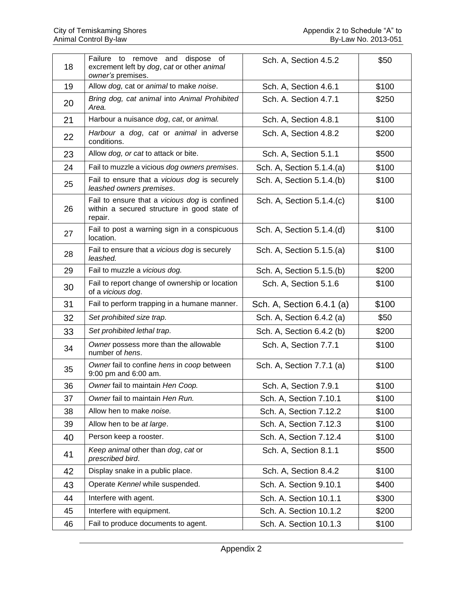|    | Failure to remove and dispose of                                                                        |                           |       |
|----|---------------------------------------------------------------------------------------------------------|---------------------------|-------|
| 18 | excrement left by dog, cat or other animal<br>owner's premises.                                         | Sch. A, Section 4.5.2     | \$50  |
| 19 | Allow dog, cat or animal to make noise.                                                                 | Sch. A, Section 4.6.1     | \$100 |
| 20 | Bring dog, cat animal into Animal Prohibited<br>Area.                                                   | Sch. A. Section 4.7.1     | \$250 |
| 21 | Harbour a nuisance dog, cat, or animal.                                                                 | Sch. A, Section 4.8.1     | \$100 |
| 22 | Harbour a dog, cat or animal in adverse<br>conditions.                                                  | Sch. A, Section 4.8.2     | \$200 |
| 23 | Allow dog, or cat to attack or bite.                                                                    | Sch. A, Section 5.1.1     | \$500 |
| 24 | Fail to muzzle a vicious dog owners premises.                                                           | Sch. A, Section 5.1.4.(a) | \$100 |
| 25 | Fail to ensure that a vicious dog is securely<br>leashed owners premises.                               | Sch. A, Section 5.1.4.(b) | \$100 |
| 26 | Fail to ensure that a vicious dog is confined<br>within a secured structure in good state of<br>repair. | Sch. A, Section 5.1.4.(c) | \$100 |
| 27 | Fail to post a warning sign in a conspicuous<br>location.                                               | Sch. A, Section 5.1.4.(d) | \$100 |
| 28 | Fail to ensure that a vicious dog is securely<br>leashed.                                               | Sch. A, Section 5.1.5.(a) | \$100 |
| 29 | Fail to muzzle a vicious dog.                                                                           | Sch. A, Section 5.1.5.(b) | \$200 |
| 30 | Fail to report change of ownership or location<br>of a vicious dog.                                     | Sch. A, Section 5.1.6     | \$100 |
| 31 | Fail to perform trapping in a humane manner.                                                            | Sch. A, Section 6.4.1 (a) | \$100 |
| 32 | Set prohibited size trap.                                                                               | Sch. A, Section 6.4.2 (a) | \$50  |
| 33 | Set prohibited lethal trap.                                                                             | Sch. A, Section 6.4.2 (b) | \$200 |
| 34 | Owner possess more than the allowable<br>number of hens.                                                | Sch. A, Section 7.7.1     | \$100 |
| 35 | Owner fail to confine hens in coop between<br>9:00 pm and 6:00 am.                                      | Sch. A, Section 7.7.1 (a) | \$100 |
| 36 | Owner fail to maintain Hen Coop.                                                                        | Sch. A, Section 7.9.1     | \$100 |
| 37 | Owner fail to maintain Hen Run.                                                                         | Sch. A, Section 7.10.1    | \$100 |
| 38 | Allow hen to make noise.                                                                                | Sch. A, Section 7.12.2    | \$100 |
| 39 | Allow hen to be at large.                                                                               | Sch. A, Section 7.12.3    | \$100 |
| 40 | Person keep a rooster.                                                                                  | Sch. A, Section 7.12.4    | \$100 |
| 41 | Keep animal other than dog, cat or<br>prescribed bird.                                                  | Sch. A, Section 8.1.1     | \$500 |
| 42 | Display snake in a public place.                                                                        | Sch. A, Section 8.4.2     | \$100 |
| 43 | Operate Kennel while suspended.                                                                         | Sch. A. Section 9.10.1    | \$400 |
| 44 | Interfere with agent.                                                                                   | Sch. A. Section 10.1.1    | \$300 |
| 45 | Interfere with equipment.                                                                               | Sch. A. Section 10.1.2    | \$200 |
| 46 | Fail to produce documents to agent.                                                                     | Sch. A. Section 10.1.3    | \$100 |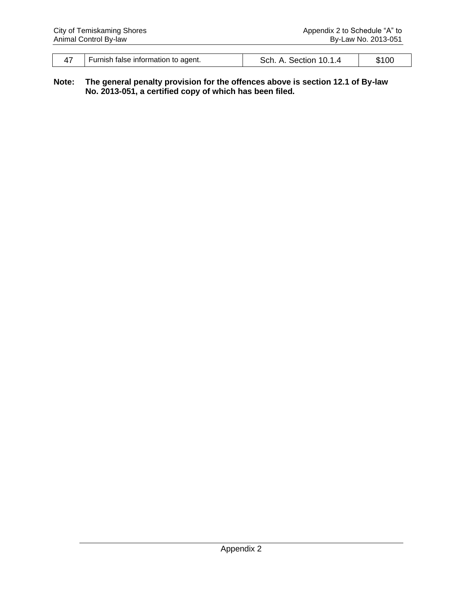| Furnish false information to agent. | Sch. A. Section 10.1.4 |  |
|-------------------------------------|------------------------|--|

#### **Note: The general penalty provision for the offences above is section 12.1 of By-law No. 2013-051, a certified copy of which has been filed.**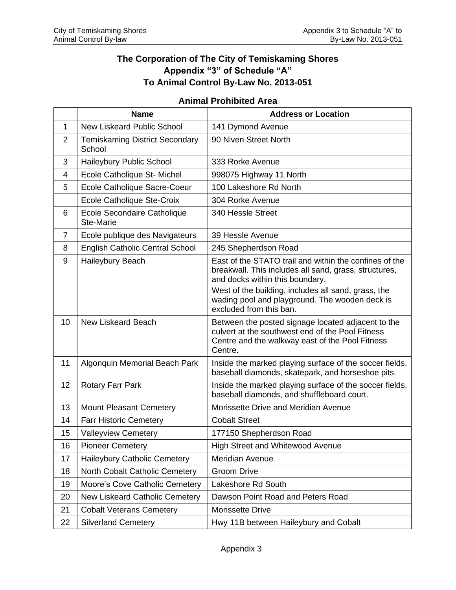## **The Corporation of The City of Temiskaming Shores Appendix "3" of Schedule "A" To Animal Control By-Law No. 2013-051**

## **Animal Prohibited Area**

|                | <b>Name</b>                                     | <b>Address or Location</b>                                                                                                                                                                                |
|----------------|-------------------------------------------------|-----------------------------------------------------------------------------------------------------------------------------------------------------------------------------------------------------------|
| 1              | New Liskeard Public School                      | 141 Dymond Avenue                                                                                                                                                                                         |
| $\overline{2}$ | <b>Temiskaming District Secondary</b><br>School | 90 Niven Street North                                                                                                                                                                                     |
| 3              | Haileybury Public School                        | 333 Rorke Avenue                                                                                                                                                                                          |
| 4              | Ecole Catholique St- Michel                     | 998075 Highway 11 North                                                                                                                                                                                   |
| 5              | Ecole Catholique Sacre-Coeur                    | 100 Lakeshore Rd North                                                                                                                                                                                    |
|                | Ecole Catholique Ste-Croix                      | 304 Rorke Avenue                                                                                                                                                                                          |
| 6              | Ecole Secondaire Catholique<br><b>Ste-Marie</b> | 340 Hessle Street                                                                                                                                                                                         |
| $\overline{7}$ | Ecole publique des Navigateurs                  | 39 Hessle Avenue                                                                                                                                                                                          |
| 8              | <b>English Catholic Central School</b>          | 245 Shepherdson Road                                                                                                                                                                                      |
| 9              | Haileybury Beach                                | East of the STATO trail and within the confines of the<br>breakwall. This includes all sand, grass, structures,<br>and docks within this boundary.<br>West of the building, includes all sand, grass, the |
|                |                                                 | wading pool and playground. The wooden deck is<br>excluded from this ban.                                                                                                                                 |
| 10             | <b>New Liskeard Beach</b>                       | Between the posted signage located adjacent to the<br>culvert at the southwest end of the Pool Fitness<br>Centre and the walkway east of the Pool Fitness<br>Centre.                                      |
| 11             | Algonquin Memorial Beach Park                   | Inside the marked playing surface of the soccer fields,<br>baseball diamonds, skatepark, and horseshoe pits.                                                                                              |
| 12             | <b>Rotary Farr Park</b>                         | Inside the marked playing surface of the soccer fields,<br>baseball diamonds, and shuffleboard court.                                                                                                     |
| 13             | <b>Mount Pleasant Cemetery</b>                  | Morissette Drive and Meridian Avenue                                                                                                                                                                      |
| 14             | <b>Farr Historic Cemetery</b>                   | <b>Cobalt Street</b>                                                                                                                                                                                      |
| 15             | <b>Valleyview Cemetery</b>                      | 177150 Shepherdson Road                                                                                                                                                                                   |
| 16             | <b>Pioneer Cemetery</b>                         | <b>High Street and Whitewood Avenue</b>                                                                                                                                                                   |
| 17             | Haileybury Catholic Cemetery                    | Meridian Avenue                                                                                                                                                                                           |
| 18             | North Cobalt Catholic Cemetery                  | <b>Groom Drive</b>                                                                                                                                                                                        |
| 19             | Moore's Cove Catholic Cemetery                  | Lakeshore Rd South                                                                                                                                                                                        |
| 20             | New Liskeard Catholic Cemetery                  | Dawson Point Road and Peters Road                                                                                                                                                                         |
| 21             | <b>Cobalt Veterans Cemetery</b>                 | <b>Morissette Drive</b>                                                                                                                                                                                   |
| 22             | <b>Silverland Cemetery</b>                      | Hwy 11B between Haileybury and Cobalt                                                                                                                                                                     |